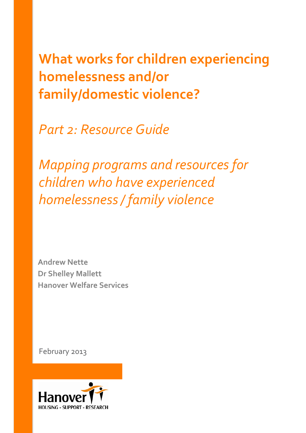**What works for children experiencing homelessness and/or family/domestic violence?**

*Part 2: Resource Guide*

*Mapping programs and resources for children who have experienced homelessness / family violence* 

**Andrew Nette Dr Shelley Mallett Hanover Welfare Services**

February 2013

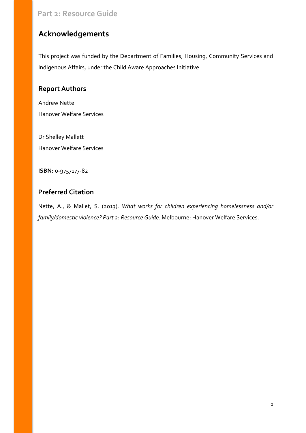# <span id="page-1-0"></span>**Acknowledgements**

This project was funded by the Department of Families, Housing, Community Services and Indigenous Affairs, under the Child Aware Approaches Initiative.

### **Report Authors**

Andrew Nette Hanover Welfare Services

Dr Shelley Mallett Hanover Welfare Services

**ISBN:** 0-9757177-82

## **Preferred Citation**

Nette, A., & Mallet, S. (2013). *What works for children experiencing homelessness and/or family/domestic violence? Part 2: Resource Guide*. Melbourne: Hanover Welfare Services.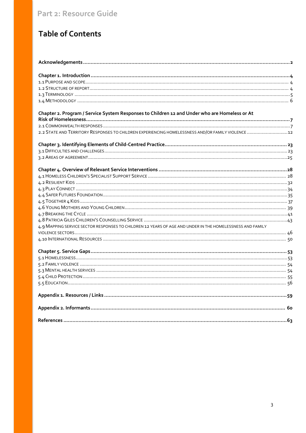# **Table of Contents**

| Chapter 2. Program / Service System Responses to Children 12 and Under who are Homeless or At             |  |
|-----------------------------------------------------------------------------------------------------------|--|
|                                                                                                           |  |
|                                                                                                           |  |
| 2.2 STATE AND TERRITORY RESPONSES TO CHILDREN EXPERIENCING HOMELESSNESS AND/OR FAMILY VIOLENCE  12        |  |
|                                                                                                           |  |
|                                                                                                           |  |
|                                                                                                           |  |
|                                                                                                           |  |
|                                                                                                           |  |
|                                                                                                           |  |
|                                                                                                           |  |
|                                                                                                           |  |
|                                                                                                           |  |
|                                                                                                           |  |
|                                                                                                           |  |
|                                                                                                           |  |
| 4.9 MAPPING SERVICE SECTOR RESPONSES TO CHILDREN 12 YEARS OF AGE AND UNDER IN THE HOMELESSNESS AND FAMILY |  |
|                                                                                                           |  |
|                                                                                                           |  |
|                                                                                                           |  |
|                                                                                                           |  |
|                                                                                                           |  |
|                                                                                                           |  |
|                                                                                                           |  |
|                                                                                                           |  |
|                                                                                                           |  |
|                                                                                                           |  |
|                                                                                                           |  |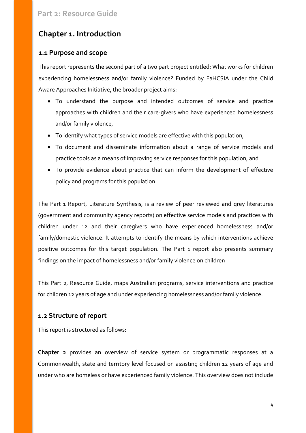# <span id="page-3-0"></span>**Chapter 1. Introduction**

### <span id="page-3-1"></span>**1.1 Purpose and scope**

This report represents the second part of a two part project entitled: What works for children experiencing homelessness and/or family violence? Funded by FaHCSIA under the Child Aware Approaches Initiative, the broader project aims:

- To understand the purpose and intended outcomes of service and practice approaches with children and their care-givers who have experienced homelessness and/or family violence,
- To identify what types of service models are effective with this population,
- To document and disseminate information about a range of service models and practice tools as a means of improving service responses for this population, and
- To provide evidence about practice that can inform the development of effective policy and programs for this population.

The Part 1 Report, Literature Synthesis, is a review of peer reviewed and grey literatures (government and community agency reports) on effective service models and practices with children under 12 and their caregivers who have experienced homelessness and/or family/domestic violence. It attempts to identify the means by which interventions achieve positive outcomes for this target population. The Part 1 report also presents summary findings on the impact of homelessness and/or family violence on children

This Part 2, Resource Guide, maps Australian programs, service interventions and practice for children 12 years of age and under experiencing homelessness and/or family violence.

### <span id="page-3-2"></span>**1.2 Structure of report**

This report is structured as follows:

**Chapter 2** provides an overview of service system or programmatic responses at a Commonwealth, state and territory level focused on assisting children 12 years of age and under who are homeless or have experienced family violence. This overview does not include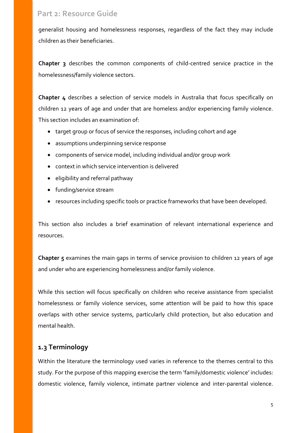generalist housing and homelessness responses, regardless of the fact they may include children as their beneficiaries.

**Chapter 3** describes the common components of child-centred service practice in the homelessness/family violence sectors.

**Chapter 4** describes a selection of service models in Australia that focus specifically on children 12 years of age and under that are homeless and/or experiencing family violence. This section includes an examination of:

- target group or focus of service the responses, including cohort and age
- assumptions underpinning service response
- components of service model, including individual and/or group work
- context in which service intervention is delivered
- eligibility and referral pathway
- funding/service stream
- resources including specific tools or practice frameworks that have been developed.

This section also includes a brief examination of relevant international experience and resources.

**Chapter 5** examines the main gaps in terms of service provision to children 12 years of age and under who are experiencing homelessness and/or family violence.

While this section will focus specifically on children who receive assistance from specialist homelessness or family violence services, some attention will be paid to how this space overlaps with other service systems, particularly child protection, but also education and mental health.

### <span id="page-4-0"></span>**1.3 Terminology**

Within the literature the terminology used varies in reference to the themes central to this study. For the purpose of this mapping exercise the term 'family/domestic violence' includes: domestic violence, family violence, intimate partner violence and inter-parental violence.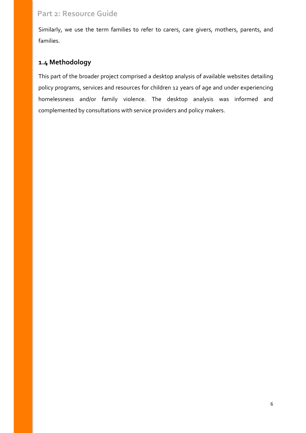Similarly, we use the term families to refer to carers, care givers, mothers, parents, and families.

## <span id="page-5-0"></span>**1.4 Methodology**

This part of the broader project comprised a desktop analysis of available websites detailing policy programs, services and resources for children 12 years of age and under experiencing homelessness and/or family violence. The desktop analysis was informed and complemented by consultations with service providers and policy makers.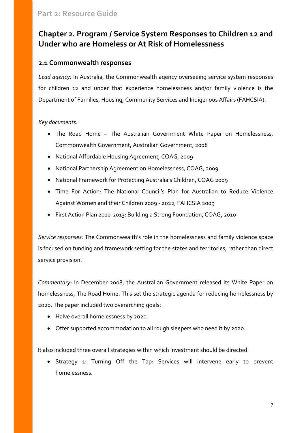# <span id="page-6-0"></span>**Chapter 2. Program / Service System Responses to Children 12 and Under who are Homeless or At Risk of Homelessness**

### <span id="page-6-1"></span>**2.1 Commonwealth responses**

*Lead agency:* In Australia, the Commonwealth agency overseeing service system responses for children 12 and under that experience homelessness and/or family violence is the Department of Families, Housing, Community Services and Indigenous Affairs (FAHCSIA).

#### *Key documents:*

- The Road Home The Australian Government White Paper on Homelessness, Commonwealth Government, Australian Government, 2008
- National Affordable Housing Agreement, COAG, 2009
- National Partnership Agreement on Homelessness, COAG, 2009
- National Framework for Protecting Australia's Children, COAG 2009
- Time For Action: The National Council's Plan for Australian to Reduce Violence Against Women and their Children 2009 - 2022, FAHCSIA 2009
- First Action Plan 2010-2013: Building a Strong Foundation, COAG, 2010

*Service responses:* The Commonwealth's role in the homelessness and family violence space is focused on funding and framework setting for the states and territories, rather than direct service provision.

*Commentary:* In December 2008, the Australian Government released its White Paper on homelessness, The Road Home. This set the strategic agenda for reducing homelessness by 2020. The paper included two overarching goals:

- Halve overall homelessness by 2020.
- Offer supported accommodation to all rough sleepers who need it by 2020.

It also included three overall strategies within which investment should be directed:

Strategy 1: Turning Off the Tap: Services will intervene early to prevent homelessness.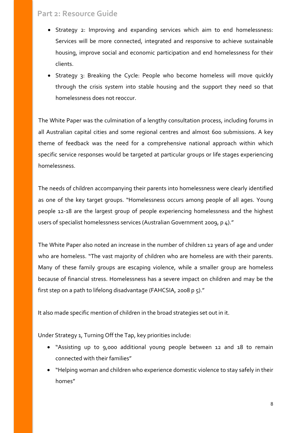- Strategy 2: Improving and expanding services which aim to end homelessness: Services will be more connected, integrated and responsive to achieve sustainable housing, improve social and economic participation and end homelessness for their clients.
- Strategy 3: Breaking the Cycle: People who become homeless will move quickly through the crisis system into stable housing and the support they need so that homelessness does not reoccur.

The White Paper was the culmination of a lengthy consultation process, including forums in all Australian capital cities and some regional centres and almost 600 submissions. A key theme of feedback was the need for a comprehensive national approach within which specific service responses would be targeted at particular groups or life stages experiencing homelessness.

The needs of children accompanying their parents into homelessness were clearly identified as one of the key target groups. "Homelessness occurs among people of all ages. Young people 12-18 are the largest group of people experiencing homelessness and the highest users of specialist homelessness services (Australian Government 2009, p 4)."

The White Paper also noted an increase in the number of children 12 years of age and under who are homeless. "The vast majority of children who are homeless are with their parents. Many of these family groups are escaping violence, while a smaller group are homeless because of financial stress. Homelessness has a severe impact on children and may be the first step on a path to lifelong disadvantage (FAHCSIA, 2008 p 5)."

It also made specific mention of children in the broad strategies set out in it.

Under Strategy 1, Turning Off the Tap, key priorities include:

- "Assisting up to 9,000 additional young people between 12 and 18 to remain connected with their families"
- "Helping woman and children who experience domestic violence to stay safely in their homes"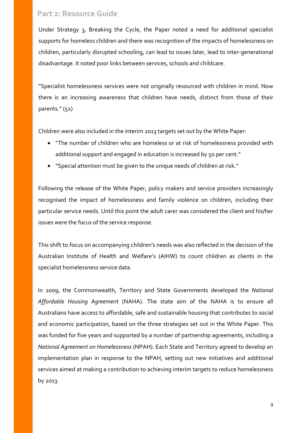Under Strategy 3, Breaking the Cycle, the Paper noted a need for additional specialist supports for homeless children and there was recognition of the impacts of homelessness on children, particularly disrupted schooling, can lead to issues later, lead to inter-generational disadvantage. It noted poor links between services, schools and childcare.

"Specialist homelessness services were not originally resourced with children in mind. Now there is an increasing awareness that children have needs, distinct from those of their parents." (52)

Children were also included in the interim 2013 targets set out by the White Paper:

- "The number of children who are homeless or at risk of homelessness provided with additional support and engaged in education is increased by 50 per cent."
- "Special attention must be given to the unique needs of children at risk."

Following the release of the White Paper, policy makers and service providers increasingly recognised the impact of homelessness and family violence on children, including their particular service needs. Until this point the adult carer was considered the client and his/her issues were the focus of the service response.

This shift to focus on accompanying children's needs was also reflected in the decision of the Australian Institute of Health and Welfare's (AIHW) to count children as clients in the specialist homelessness service data.

In 2009, the Commonwealth, Territory and State Governments developed the *National Affordable Housing Agreement* (NAHA). The state aim of the NAHA is to ensure all Australians have access to affordable, safe and sustainable housing that contributes to social and economic participation, based on the three strategies set out in the White Paper. This was funded for five years and supported by a number of partnership agreements, including a *National Agreement on Homelessness* (NPAH). Each State and Territory agreed to develop an implementation plan in response to the NPAH, setting out new initiatives and additional services aimed at making a contribution to achieving interim targets to reduce homelessness by 2013.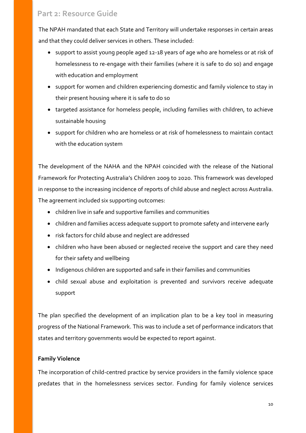The NPAH mandated that each State and Territory will undertake responses in certain areas and that they could deliver services in others. These included:

- support to assist young people aged 12-18 years of age who are homeless or at risk of homelessness to re-engage with their families (where it is safe to do so) and engage with education and employment
- support for women and children experiencing domestic and family violence to stay in their present housing where it is safe to do so
- targeted assistance for homeless people, including families with children, to achieve sustainable housing
- support for children who are homeless or at risk of homelessness to maintain contact with the education system

The development of the NAHA and the NPAH coincided with the release of the National Framework for Protecting Australia's Children 2009 to 2020. This framework was developed in response to the increasing incidence of reports of child abuse and neglect across Australia. The agreement included six supporting outcomes:

- children live in safe and supportive families and communities
- children and families access adequate support to promote safety and intervene early
- risk factors for child abuse and neglect are addressed
- children who have been abused or neglected receive the support and care they need for their safety and wellbeing
- Indigenous children are supported and safe in their families and communities
- child sexual abuse and exploitation is prevented and survivors receive adequate support

The plan specified the development of an implication plan to be a key tool in measuring progress of the National Framework. This was to include a set of performance indicators that states and territory governments would be expected to report against.

#### **Family Violence**

The incorporation of child-centred practice by service providers in the family violence space predates that in the homelessness services sector. Funding for family violence services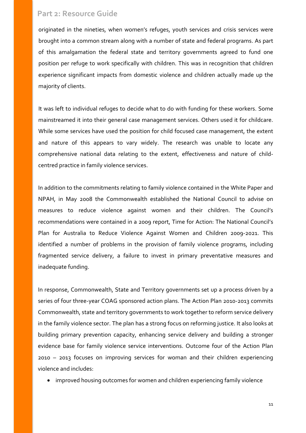originated in the nineties, when women's refuges, youth services and crisis services were brought into a common stream along with a number of state and federal programs. As part of this amalgamation the federal state and territory governments agreed to fund one position per refuge to work specifically with children. This was in recognition that children experience significant impacts from domestic violence and children actually made up the majority of clients.

It was left to individual refuges to decide what to do with funding for these workers. Some mainstreamed it into their general case management services. Others used it for childcare. While some services have used the position for child focused case management, the extent and nature of this appears to vary widely. The research was unable to locate any comprehensive national data relating to the extent, effectiveness and nature of childcentred practice in family violence services.

In addition to the commitments relating to family violence contained in the White Paper and NPAH, in May 2008 the Commonwealth established the National Council to advise on measures to reduce violence against women and their children. The Council's recommendations were contained in a 2009 report, Time for Action: The National Council's Plan for Australia to Reduce Violence Against Women and Children 2009-2021. This identified a number of problems in the provision of family violence programs, including fragmented service delivery, a failure to invest in primary preventative measures and inadequate funding.

In response, Commonwealth, State and Territory governments set up a process driven by a series of four three-year COAG sponsored action plans. The Action Plan 2010-2013 commits Commonwealth, state and territory governments to work together to reform service delivery in the family violence sector. The plan has a strong focus on reforming justice. It also looks at building primary prevention capacity, enhancing service delivery and building a stronger evidence base for family violence service interventions. Outcome four of the Action Plan 2010 – 2013 focuses on improving services for woman and their children experiencing violence and includes:

• improved housing outcomes for women and children experiencing family violence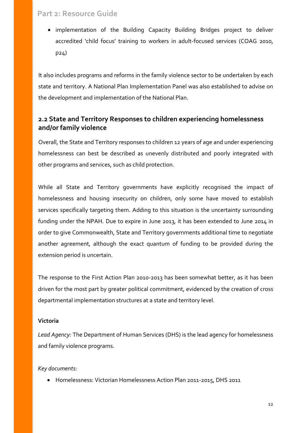• implementation of the Building Capacity Building Bridges project to deliver accredited 'child focus' training to workers in adult-focused services (COAG 2010, p24)

It also includes programs and reforms in the family violence sector to be undertaken by each state and territory. A National Plan Implementation Panel was also established to advise on the development and implementation of the National Plan.

### <span id="page-11-0"></span>**2.2 State and Territory Responses to children experiencing homelessness and/or family violence**

Overall, the State and Territory responses to children 12 years of age and under experiencing homelessness can best be described as unevenly distributed and poorly integrated with other programs and services, such as child protection.

While all State and Territory governments have explicitly recognised the impact of homelessness and housing insecurity on children, only some have moved to establish services specifically targeting them. Adding to this situation is the uncertainty surrounding funding under the NPAH. Due to expire in June 2013, it has been extended to June 2014 in order to give Commonwealth, State and Territory governments additional time to negotiate another agreement, although the exact quantum of funding to be provided during the extension period is uncertain.

The response to the First Action Plan 2010-2013 has been somewhat better, as it has been driven for the most part by greater political commitment, evidenced by the creation of cross departmental implementation structures at a state and territory level.

#### **Victoria**

*Lead Agency:* The Department of Human Services (DHS) is the lead agency for homelessness and family violence programs.

#### *Key documents:*

• Homelessness: Victorian Homelessness Action Plan 2011-2015, DHS 2011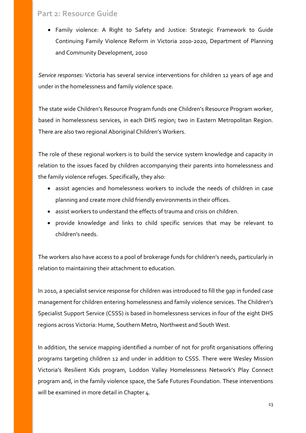• Family violence: A Right to Safety and Justice: Strategic Framework to Guide Continuing Family Violence Reform in Victoria 2010-2020, Department of Planning and Community Development, 2010

*Service responses:* Victoria has several service interventions for children 12 years of age and under in the homelessness and family violence space.

The state wide Children's Resource Program funds one Children's Resource Program worker, based in homelessness services, in each DHS region; two in Eastern Metropolitan Region. There are also two regional Aboriginal Children's Workers.

The role of these regional workers is to build the service system knowledge and capacity in relation to the issues faced by children accompanying their parents into homelessness and the family violence refuges. Specifically, they also:

- assist agencies and homelessness workers to include the needs of children in case planning and create more child friendly environments in their offices.
- assist workers to understand the effects of trauma and crisis on children.
- provide knowledge and links to child specific services that may be relevant to children's needs.

The workers also have access to a pool of brokerage funds for children's needs, particularly in relation to maintaining their attachment to education.

In 2010, a specialist service response for children was introduced to fill the gap in funded case management for children entering homelessness and family violence services. The Children's Specialist Support Service (CSSS) is based in homelessness services in four of the eight DHS regions across Victoria: Hume, Southern Metro, Northwest and South West.

In addition, the service mapping identified a number of not for profit organisations offering programs targeting children 12 and under in addition to CSSS. There were Wesley Mission Victoria's Resilient Kids program, Loddon Valley Homelessness Network's Play Connect program and, in the family violence space, the Safe Futures Foundation. These interventions will be examined in more detail in Chapter 4.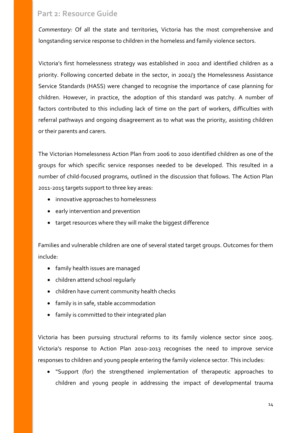*Commentary:* Of all the state and territories, Victoria has the most comprehensive and longstanding service response to children in the homeless and family violence sectors.

Victoria's first homelessness strategy was established in 2002 and identified children as a priority. Following concerted debate in the sector, in 2002/3 the Homelessness Assistance Service Standards (HASS) were changed to recognise the importance of case planning for children. However, in practice, the adoption of this standard was patchy. A number of factors contributed to this including lack of time on the part of workers, difficulties with referral pathways and ongoing disagreement as to what was the priority, assisting children or their parents and carers.

The Victorian Homelessness Action Plan from 2006 to 2010 identified children as one of the groups for which specific service responses needed to be developed. This resulted in a number of child-focused programs, outlined in the discussion that follows. The Action Plan 2011-2015 targets support to three key areas:

- innovative approaches to homelessness
- early intervention and prevention
- target resources where they will make the biggest difference

Families and vulnerable children are one of several stated target groups. Outcomes for them include:

- family health issues are managed
- children attend school regularly
- children have current community health checks
- family is in safe, stable accommodation
- family is committed to their integrated plan

Victoria has been pursuing structural reforms to its family violence sector since 2005. Victoria's response to Action Plan 2010-2013 recognises the need to improve service responses to children and young people entering the family violence sector. This includes:

• "Support (for) the strengthened implementation of therapeutic approaches to children and young people in addressing the impact of developmental trauma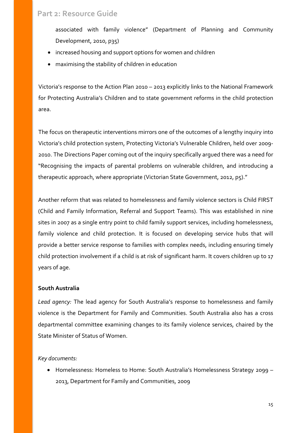associated with family violence" (Department of Planning and Community Development, 2010, p35)

- increased housing and support options for women and children
- maximising the stability of children in education

Victoria's response to the Action Plan 2010 – 2013 explicitly links to the National Framework for Protecting Australia's Children and to state government reforms in the child protection area.

The focus on therapeutic interventions mirrors one of the outcomes of a lengthy inquiry into Victoria's child protection system, Protecting Victoria's Vulnerable Children, held over 2009- 2010. The Directions Paper coming out of the inquiry specifically argued there was a need for "Recognising the impacts of parental problems on vulnerable children, and introducing a therapeutic approach, where appropriate (Victorian State Government, 2012, p5)."

Another reform that was related to homelessness and family violence sectors is Child FIRST (Child and Family Information, Referral and Support Teams). This was established in nine sites in 2007 as a single entry point to child family support services, including homelessness, family violence and child protection. It is focused on developing service hubs that will provide a better service response to families with complex needs, including ensuring timely child protection involvement if a child is at risk of significant harm. It covers children up to 17 years of age.

#### **South Australia**

*Lead agency:* The lead agency for South Australia's response to homelessness and family violence is the Department for Family and Communities. South Australia also has a cross departmental committee examining changes to its family violence services, chaired by the State Minister of Status of Women.

*Key documents:* 

• Homelessness: Homeless to Home: South Australia's Homelessness Strategy 2099 – 2013, Department for Family and Communities, 2009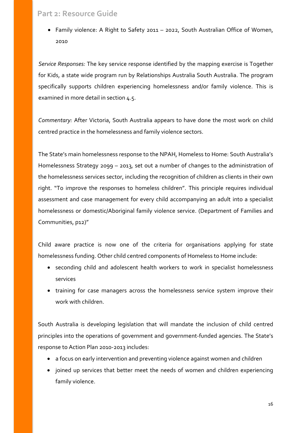• Family violence: A Right to Safety 2011 – 2022, South Australian Office of Women, 2010

*Service Responses:* The key service response identified by the mapping exercise is Together for Kids, a state wide program run by Relationships Australia South Australia. The program specifically supports children experiencing homelessness and/or family violence. This is examined in more detail in section 4.5.

*Commentary:* After Victoria, South Australia appears to have done the most work on child centred practice in the homelessness and family violence sectors.

The State's main homelessness response to the NPAH, Homeless to Home: South Australia's Homelessness Strategy 2099 – 2013, set out a number of changes to the administration of the homelessness services sector, including the recognition of children as clients in their own right. "To improve the responses to homeless children". This principle requires individual assessment and case management for every child accompanying an adult into a specialist homelessness or domestic/Aboriginal family violence service. (Department of Families and Communities, p12)"

Child aware practice is now one of the criteria for organisations applying for state homelessness funding. Other child centred components of Homeless to Home include:

- seconding child and adolescent health workers to work in specialist homelessness services
- training for case managers across the homelessness service system improve their work with children.

South Australia is developing legislation that will mandate the inclusion of child centred principles into the operations of government and government-funded agencies. The State's response to Action Plan 2010-2013 includes:

- a focus on early intervention and preventing violence against women and children
- joined up services that better meet the needs of women and children experiencing family violence.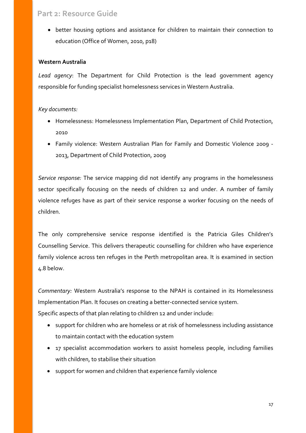• better housing options and assistance for children to maintain their connection to education (Office of Women, 2010, p18)

#### **Western Australia**

*Lead agency*: The Department for Child Protection is the lead government agency responsible for funding specialist homelessness services in Western Australia.

#### *Key documents:*

- Homelessness: Homelessness Implementation Plan, Department of Child Protection, 2010
- Family violence: Western Australian Plan for Family and Domestic Violence 2009 2013, Department of Child Protection, 2009

*Service response:* The service mapping did not identify any programs in the homelessness sector specifically focusing on the needs of children 12 and under. A number of family violence refuges have as part of their service response a worker focusing on the needs of children.

The only comprehensive service response identified is the Patricia Giles Children's Counselling Service. This delivers therapeutic counselling for children who have experience family violence across ten refuges in the Perth metropolitan area. It is examined in section 4.8 below.

*Commentary:* Western Australia's response to the NPAH is contained in its Homelessness Implementation Plan. It focuses on creating a better-connected service system. Specific aspects of that plan relating to children 12 and under include:

- support for children who are homeless or at risk of homelessness including assistance to maintain contact with the education system
- 17 specialist accommodation workers to assist homeless people, including families with children, to stabilise their situation
- support for women and children that experience family violence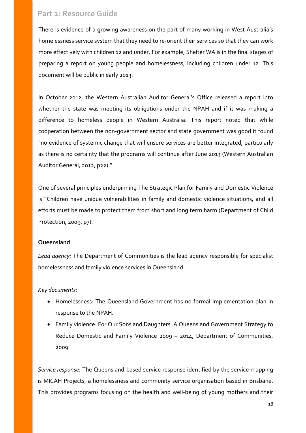There is evidence of a growing awareness on the part of many working in West Australia's homelessness service system that they need to re-orient their services so that they can work more effectively with children 12 and under. For example, Shelter WA is in the final stages of preparing a report on young people and homelessness, including children under 12. This document will be public in early 2013.

In October 2012, the Western Australian Auditor General's Office released a report into whether the state was meeting its obligations under the NPAH and if it was making a difference to homeless people in Western Australia. This report noted that while cooperation between the non-government sector and state government was good it found "no evidence of systemic change that will ensure services are better integrated, particularly as there is no certainty that the programs will continue after June 2013 (Western Australian Auditor General, 2012, p22)."

One of several principles underpinning The Strategic Plan for Family and Domestic Violence is "Children have unique vulnerabilities in family and domestic violence situations, and all efforts must be made to protect them from short and long term harm (Department of Child Protection, 2009, p7).

#### **Queensland**

*Lead agency:* The Department of Communities is the lead agency responsible for specialist homelessness and family violence services in Queensland.

#### *Key documents:*

- Homelessness: The Queensland Government has no formal implementation plan in response to the NPAH.
- Family violence: For Our Sons and Daughters: A Queensland Government Strategy to Reduce Domestic and Family Violence 2009 – 2014, Department of Communities, 2009

*Service response:* The Queensland-based service response identified by the service mapping is MICAH Projects, a homelessness and community service organisation based in Brisbane. This provides programs focusing on the health and well-being of young mothers and their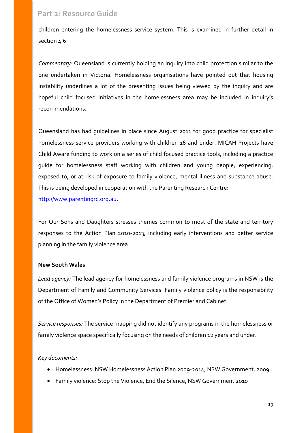children entering the homelessness service system. This is examined in further detail in section 4.6.

*Commentary:* Queensland is currently holding an inquiry into child protection similar to the one undertaken in Victoria. Homelessness organisations have pointed out that housing instability underlines a lot of the presenting issues being viewed by the inquiry and are hopeful child focused initiatives in the homelessness area may be included in inquiry's recommendations.

Queensland has had guidelines in place since August 2011 for good practice for specialist homelessness service providers working with children 16 and under. MICAH Projects have Child Aware funding to work on a series of child focused practice tools, including a practice guide for homelessness staff working with children and young people, experiencing, exposed to, or at risk of exposure to family violence, mental illness and substance abuse. This is being developed in cooperation with the Parenting Research Centre:

[http://www.parentingrc.org.au.](http://www.parentingrc.org.au/)

For Our Sons and Daughters stresses themes common to most of the state and territory responses to the Action Plan 2010-2013, including early interventions and better service planning in the family violence area.

#### **New South Wales**

*Lead agency:* The lead agency for homelessness and family violence programs in NSW is the Department of Family and Community Services. Family violence policy is the responsibility of the Office of Women's Policy in the Department of Premier and Cabinet.

*Service responses:* The service mapping did not identify any programs in the homelessness or family violence space specifically focusing on the needs of children 12 years and under.

#### *Key documents:*

- Homelessness: NSW Homelessness Action Plan 2009-2014, NSW Government, 2009
- Family violence: Stop the Violence, End the Silence, NSW Government 2010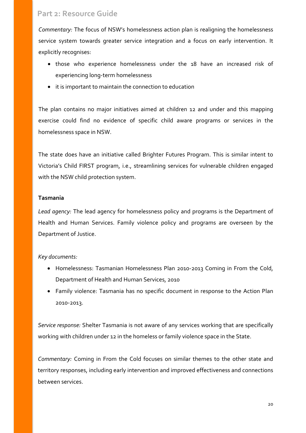*Commentary:* The focus of NSW's homelessness action plan is realigning the homelessness service system towards greater service integration and a focus on early intervention. It explicitly recognises:

- those who experience homelessness under the 18 have an increased risk of experiencing long-term homelessness
- it is important to maintain the connection to education

The plan contains no major initiatives aimed at children 12 and under and this mapping exercise could find no evidence of specific child aware programs or services in the homelessness space in NSW.

The state does have an initiative called Brighter Futures Program. This is similar intent to Victoria's Child FIRST program, i.e., streamlining services for vulnerable children engaged with the NSW child protection system.

#### **Tasmania**

*Lead agency:* The lead agency for homelessness policy and programs is the Department of Health and Human Services. Family violence policy and programs are overseen by the Department of Justice.

#### *Key documents:*

- Homelessness: Tasmanian Homelessness Plan 2010-2013 Coming in From the Cold, Department of Health and Human Services, 2010
- Family violence: Tasmania has no specific document in response to the Action Plan 2010-2013.

*Service response:* Shelter Tasmania is not aware of any services working that are specifically working with children under 12 in the homeless or family violence space in the State.

*Commentary:* Coming in From the Cold focuses on similar themes to the other state and territory responses, including early intervention and improved effectiveness and connections between services.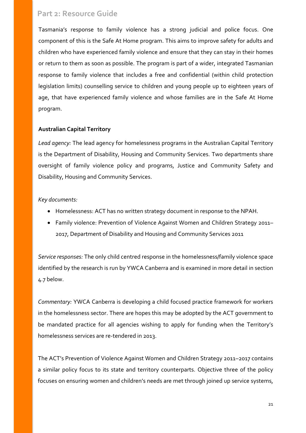Tasmania's response to family violence has a strong judicial and police focus. One component of this is the Safe At Home program. This aims to improve safety for adults and children who have experienced family violence and ensure that they can stay in their homes or return to them as soon as possible. The program is part of a wider, integrated Tasmanian response to family violence that includes a free and confidential (within child protection legislation limits) counselling service to children and young people up to eighteen years of age, that have experienced family violence and whose families are in the Safe At Home program.

#### **Australian Capital Territory**

*Lead agency:* The lead agency for homelessness programs in the Australian Capital Territory is the Department of Disability, Housing and Community Services. Two departments share oversight of family violence policy and programs, Justice and Community Safety and Disability, Housing and Community Services.

#### *Key documents:*

- Homelessness: ACT has no written strategy document in response to the NPAH.
- Family violence: Prevention of Violence Against Women and Children Strategy 2011– 2017, Department of Disability and Housing and Community Services 2011

*Service responses:* The only child centred response in the homelessness/family violence space identified by the research is run by YWCA Canberra and is examined in more detail in section 4.7 below.

*Commentary:* YWCA Canberra is developing a child focused practice framework for workers in the homelessness sector. There are hopes this may be adopted by the ACT government to be mandated practice for all agencies wishing to apply for funding when the Territory's homelessness services are re-tendered in 2013.

The ACT's Prevention of Violence Against Women and Children Strategy 2011–2017 contains a similar policy focus to its state and territory counterparts. Objective three of the policy focuses on ensuring women and children's needs are met through joined up service systems,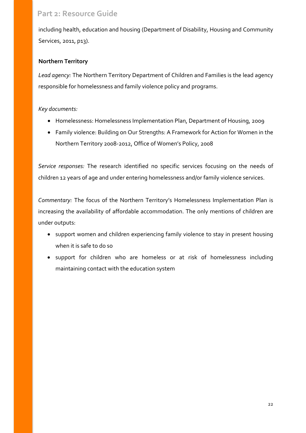including health, education and housing (Department of Disability, Housing and Community Services, 2011, p13).

### **Northern Territory**

*Lead agency:* The Northern Territory Department of Children and Families is the lead agency responsible for homelessness and family violence policy and programs.

#### *Key documents:*

- Homelessness: Homelessness Implementation Plan, Department of Housing, 2009
- Family violence: Building on Our Strengths: A Framework for Action for Women in the Northern Territory 2008-2012, Office of Women's Policy, 2008

*Service responses:* The research identified no specific services focusing on the needs of children 12 years of age and under entering homelessness and/or family violence services.

*Commentary:* The focus of the Northern Territory's Homelessness Implementation Plan is increasing the availability of affordable accommodation. The only mentions of children are under outputs:

- support women and children experiencing family violence to stay in present housing when it is safe to do so
- support for children who are homeless or at risk of homelessness including maintaining contact with the education system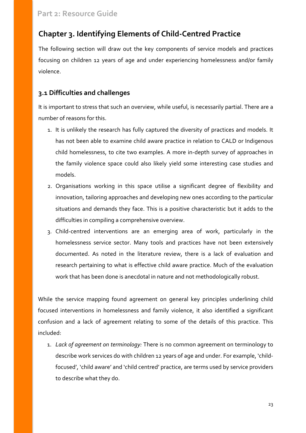# <span id="page-22-0"></span>**Chapter 3. Identifying Elements of Child-Centred Practice**

The following section will draw out the key components of service models and practices focusing on children 12 years of age and under experiencing homelessness and/or family violence.

## <span id="page-22-1"></span>**3.1 Difficulties and challenges**

It is important to stress that such an overview, while useful, is necessarily partial. There are a number of reasons for this.

- 1. It is unlikely the research has fully captured the diversity of practices and models. It has not been able to examine child aware practice in relation to CALD or Indigenous child homelessness, to cite two examples. A more in-depth survey of approaches in the family violence space could also likely yield some interesting case studies and models.
- 2. Organisations working in this space utilise a significant degree of flexibility and innovation, tailoring approaches and developing new ones according to the particular situations and demands they face. This is a positive characteristic but it adds to the difficulties in compiling a comprehensive overview.
- 3. Child-centred interventions are an emerging area of work, particularly in the homelessness service sector. Many tools and practices have not been extensively documented. As noted in the literature review, there is a lack of evaluation and research pertaining to what is effective child aware practice. Much of the evaluation work that has been done is anecdotal in nature and not methodologically robust.

While the service mapping found agreement on general key principles underlining child focused interventions in homelessness and family violence, it also identified a significant confusion and a lack of agreement relating to some of the details of this practice. This included:

1. *Lack of agreement on terminology:* There is no common agreement on terminology to describe work services do with children 12 years of age and under. For example, 'childfocused', 'child aware' and 'child centred' practice, are terms used by service providers to describe what they do.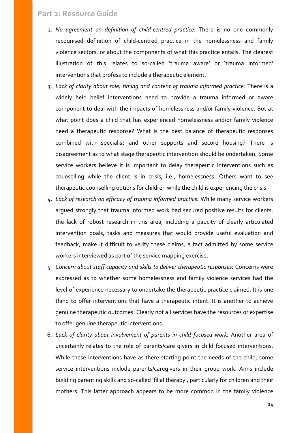- 2. *No agreement on definition of child-centred practice:* There is no one commonly recognised definition of child-centred practice in the homelessness and family violence sectors, or about the components of what this practice entails. The clearest illustration of this relates to so-called 'trauma aware' or 'trauma informed' interventions that profess to include a therapeutic element.
- 3. *Lack of clarity about role, timing and content of trauma informed practice:* There is a widely held belief interventions need to provide a trauma informed or aware component to deal with the impacts of homelessness and/or family violence. But at what point does a child that has experienced homelessness and/or family violence need a therapeutic response? What is the best balance of therapeutic responses combined with specialist and other supports and secure housing? There is disagreement as to what stage therapeutic intervention should be undertaken. Some service workers believe it is important to delay therapeutic interventions such as counselling while the client is in crisis, i.e., homelessness. Others want to see therapeutic counselling options for children while the child is experiencing the crisis.
- 4. *Lack of research on efficacy of trauma informed practice:* While many service workers argued strongly that trauma informed work had secured positive results for clients, the lack of robust research in this area, including a paucity of clearly articulated intervention goals, tasks and measures that would provide useful evaluation and feedback, make it difficult to verify these claims, a fact admitted by some service workers interviewed as part of the service mapping exercise.
- 5. *Concern about staff capacity and skills to deliver therapeutic responses:* Concerns were expressed as to whether some homelessness and family violence services had the level of experience necessary to undertake the therapeutic practice claimed. It is one thing to offer interventions that have a therapeutic intent. It is another to achieve genuine therapeutic outcomes. Clearly not all services have the resources or expertise to offer genuine therapeutic interventions.
- 6. *Lack of clarity about involvement of parents in child focused work:* Another area of uncertainly relates to the role of parents/care givers in child focused interventions. While these interventions have as there starting point the needs of the child, some service interventions include parents/caregivers in their group work. Aims include building parenting skills and so-called 'filial therapy', particularly for children and their mothers. This latter approach appears to be more common in the family violence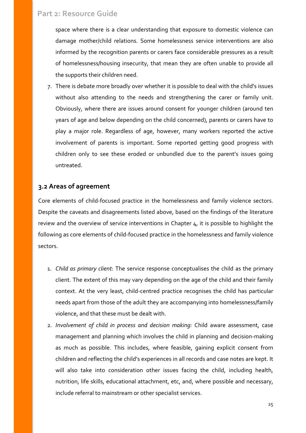space where there is a clear understanding that exposure to domestic violence can damage mother/child relations. Some homelessness service interventions are also informed by the recognition parents or carers face considerable pressures as a result of homelessness/housing insecurity, that mean they are often unable to provide all the supports their children need.

7. There is debate more broadly over whether it is possible to deal with the child's issues without also attending to the needs and strengthening the carer or family unit. Obviously, where there are issues around consent for younger children (around ten years of age and below depending on the child concerned), parents or carers have to play a major role. Regardless of age, however, many workers reported the active involvement of parents is important. Some reported getting good progress with children only to see these eroded or unbundled due to the parent's issues going untreated.

### <span id="page-24-0"></span>**3.2 Areas of agreement**

Core elements of child-focused practice in the homelessness and family violence sectors. Despite the caveats and disagreements listed above, based on the findings of the literature review and the overview of service interventions in Chapter 4, it is possible to highlight the following as core elements of child-focused practice in the homelessness and family violence sectors.

- 1. *Child as primary client:* The service response conceptualises the child as the primary client. The extent of this may vary depending on the age of the child and their family context. At the very least, child-centred practice recognises the child has particular needs apart from those of the adult they are accompanying into homelessness/family violence, and that these must be dealt with.
- 2. *Involvement of child in process and decision making:* Child aware assessment, case management and planning which involves the child in planning and decision-making as much as possible. This includes, where feasible, gaining explicit consent from children and reflecting the child's experiences in all records and case notes are kept. It will also take into consideration other issues facing the child, including health, nutrition, life skills, educational attachment, etc, and, where possible and necessary, include referral to mainstream or other specialist services.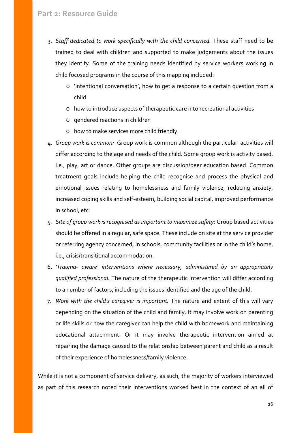- 3. *Staff dedicated to work specifically with the child concerned.* These staff need to be trained to deal with children and supported to make judgements about the issues they identify. Some of the training needs identified by service workers working in child focused programs in the course of this mapping included:
	- o 'intentional conversation', how to get a response to a certain question from a child
	- o how to introduce aspects of therapeutic care into recreational activities
	- o gendered reactions in children
	- o how to make services more child friendly
- 4. *Group work is common:* Group work is common although the particular activities will differ according to the age and needs of the child. Some group work is activity based, i.e., play, art or dance. Other groups are discussion/peer education based. Common treatment goals include helping the child recognise and process the physical and emotional issues relating to homelessness and family violence, reducing anxiety, increased coping skills and self-esteem, building social capital, improved performance in school, etc.
- 5. *Site of group work is recognised as important to maximize safety:* Group based activities should be offered in a regular, safe space. These include on site at the service provider or referring agency concerned, in schools, community facilities or in the child's home, i.e., crisis/transitional accommodation.
- 6. *'Trauma- aware' interventions where necessary, administered by an appropriately qualified professional.* The nature of the therapeutic intervention will differ according to a number of factors, including the issues identified and the age of the child.
- 7. *Work with the child's caregiver is important.* The nature and extent of this will vary depending on the situation of the child and family. It may involve work on parenting or life skills or how the caregiver can help the child with homework and maintaining educational attachment. Or it may involve therapeutic intervention aimed at repairing the damage caused to the relationship between parent and child as a result of their experience of homelessness/family violence.

While it is not a component of service delivery, as such, the majority of workers interviewed as part of this research noted their interventions worked best in the context of an all of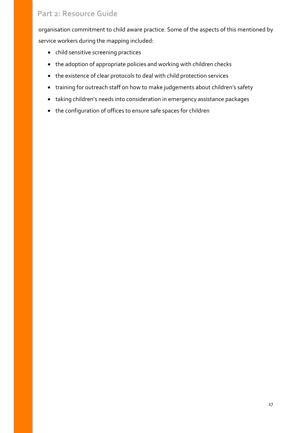organisation commitment to child aware practice. Some of the aspects of this mentioned by service workers during the mapping included:

- child sensitive screening practices
- the adoption of appropriate policies and working with children checks
- the existence of clear protocols to deal with child protection services
- training for outreach staff on how to make judgements about children's safety
- taking children's needs into consideration in emergency assistance packages
- the configuration of offices to ensure safe spaces for children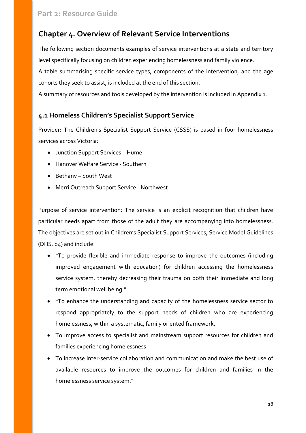# <span id="page-27-0"></span>**Chapter 4. Overview of Relevant Service Interventions**

The following section documents examples of service interventions at a state and territory level specifically focusing on children experiencing homelessness and family violence.

A table summarising specific service types, components of the intervention, and the age cohorts they seek to assist, is included at the end of this section.

A summary of resources and tools developed by the intervention is included in Appendix 1.

### <span id="page-27-1"></span>**4.1 Homeless Children's Specialist Support Service**

Provider: The Children's Specialist Support Service (CSSS) is based in four homelessness services across Victoria:

- Junction Support Services Hume
- Hanover Welfare Service Southern
- Bethany South West
- Merri Outreach Support Service Northwest

Purpose of service intervention: The service is an explicit recognition that children have particular needs apart from those of the adult they are accompanying into homelessness. The objectives are set out in Children's Specialist Support Services, Service Model Guidelines (DHS, p4) and include:

- "To provide flexible and immediate response to improve the outcomes (including improved engagement with education) for children accessing the homelessness service system, thereby decreasing their trauma on both their immediate and long term emotional well being."
- "To enhance the understanding and capacity of the homelessness service sector to respond appropriately to the support needs of children who are experiencing homelessness, within a systematic, family oriented framework.
- To improve access to specialist and mainstream support resources for children and families experiencing homelessness
- To increase inter-service collaboration and communication and make the best use of available resources to improve the outcomes for children and families in the homelessness service system."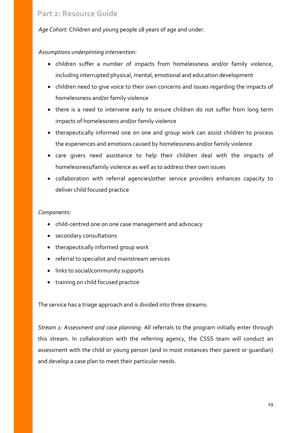*Age Cohort:* Children and young people 18 years of age and under.

#### *Assumptions underpinning intervention:*

- children suffer a number of impacts from homelessness and/or family violence, including interrupted physical, mental, emotional and education development
- children need to give voice to their own concerns and issues regarding the impacts of homelessness and/or family violence
- there is a need to intervene early to ensure children do not suffer from long term impacts of homelessness and/or family violence
- therapeutically informed one on one and group work can assist children to process the experiences and emotions caused by homelessness and/or family violence
- care givers need assistance to help their children deal with the impacts of homelessness/family violence as well as to address their own issues
- collaboration with referral agencies/other service providers enhances capacity to deliver child focused practice

#### *Components:*

- child-centred one on one case management and advocacy
- secondary consultations
- therapeutically informed group work
- referral to specialist and mainstream services
- links to social/community supports
- training on child focused practice

The service has a triage approach and is divided into three streams:

*Stream 1: Assessment and case planning:* All referrals to the program initially enter through this stream. In collaboration with the referring agency, the CSSS team will conduct an assessment with the child or young person (and in most instances their parent or guardian) and develop a case plan to meet their particular needs.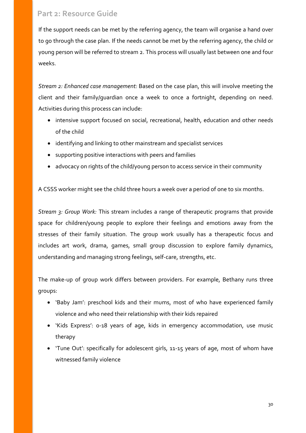If the support needs can be met by the referring agency, the team will organise a hand over to go through the case plan. If the needs cannot be met by the referring agency, the child or young person will be referred to stream 2. This process will usually last between one and four weeks.

*Stream 2: Enhanced case management:* Based on the case plan, this will involve meeting the client and their family/guardian once a week to once a fortnight, depending on need. Activities during this process can include:

- intensive support focused on social, recreational, health, education and other needs of the child
- identifying and linking to other mainstream and specialist services
- supporting positive interactions with peers and families
- advocacy on rights of the child/young person to access service in their community

A CSSS worker might see the child three hours a week over a period of one to six months.

*Stream 3: Group Work:* This stream includes a range of therapeutic programs that provide space for children/young people to explore their feelings and emotions away from the stresses of their family situation. The group work usually has a therapeutic focus and includes art work, drama, games, small group discussion to explore family dynamics, understanding and managing strong feelings, self-care, strengths, etc.

The make-up of group work differs between providers. For example, Bethany runs three groups:

- 'Baby Jam': preschool kids and their mums, most of who have experienced family violence and who need their relationship with their kids repaired
- 'Kids Express': 0-18 years of age, kids in emergency accommodation, use music therapy
- 'Tune Out': specifically for adolescent girls, 11-15 years of age, most of whom have witnessed family violence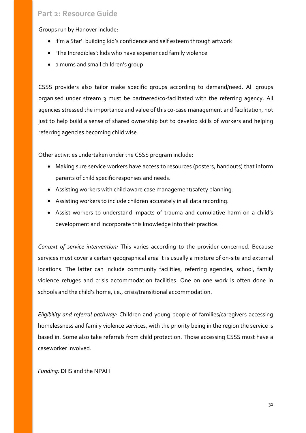Groups run by Hanover include:

- 'I'm a Star': building kid's confidence and self esteem through artwork
- 'The Incredibles': kids who have experienced family violence
- a mums and small children's group

CSSS providers also tailor make specific groups according to demand/need. All groups organised under stream 3 must be partnered/co-facilitated with the referring agency. All agencies stressed the importance and value of this co-case management and facilitation, not just to help build a sense of shared ownership but to develop skills of workers and helping referring agencies becoming child wise.

Other activities undertaken under the CSSS program include:

- Making sure service workers have access to resources (posters, handouts) that inform parents of child specific responses and needs.
- Assisting workers with child aware case management/safety planning.
- Assisting workers to include children accurately in all data recording.
- Assist workers to understand impacts of trauma and cumulative harm on a child's development and incorporate this knowledge into their practice.

*Context of service intervention:* This varies according to the provider concerned. Because services must cover a certain geographical area it is usually a mixture of on-site and external locations. The latter can include community facilities, referring agencies, school, family violence refuges and crisis accommodation facilities. One on one work is often done in schools and the child's home, i.e., crisis/transitional accommodation.

*Eligibility and referral pathway:* Children and young people of families/caregivers accessing homelessness and family violence services, with the priority being in the region the service is based in. Some also take referrals from child protection. Those accessing CSSS must have a caseworker involved.

#### *Funding:* DHS and the NPAH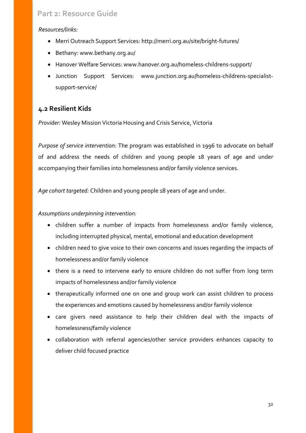#### *Resources/links:*

- Merri Outreach Support Services: http://merri.org.au/site/bright-futures/
- Bethany: www.bethany.org.au/
- Hanover Welfare Services: www.hanover.org.au/homeless-childrens-support/
- Junction Support Services: www.junction.org.au/homeless-childrens-specialistsupport-service/

## <span id="page-31-0"></span>**4.2 Resilient Kids**

*Provider:* Wesley Mission Victoria Housing and Crisis Service, Victoria

*Purpose of service intervention:* The program was established in 1996 to advocate on behalf of and address the needs of children and young people 18 years of age and under accompanying their families into homelessness and/or family violence services.

*Age cohort targeted:* Children and young people 18 years of age and under.

#### *Assumptions underpinning intervention:*

- children suffer a number of impacts from homelessness and/or family violence, including interrupted physical, mental, emotional and education development
- children need to give voice to their own concerns and issues regarding the impacts of homelessness and/or family violence
- there is a need to intervene early to ensure children do not suffer from long term impacts of homelessness and/or family violence
- therapeutically informed one on one and group work can assist children to process the experiences and emotions caused by homelessness and/or family violence
- care givers need assistance to help their children deal with the impacts of homelessness/family violence
- collaboration with referral agencies/other service providers enhances capacity to deliver child focused practice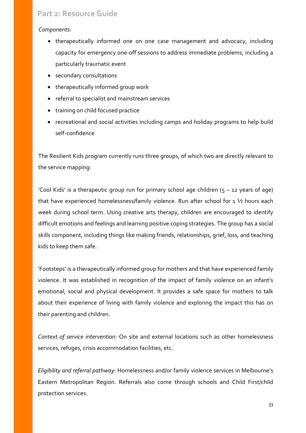#### *Components:*

- therapeutically informed one on one case management and advocacy, including capacity for emergency one-off sessions to address immediate problems, including a particularly traumatic event
- secondary consultations
- therapeutically informed group work
- referral to specialist and mainstream services
- training on child focused practice
- recreational and social activities including camps and holiday programs to help build self-confidence

The Resilient Kids program currently runs three groups, of which two are directly relevant to the service mapping:

'Cool Kids' is a therapeutic group run for primary school age children  $(5 - 12$  years of age) that have experienced homelessness/family violence. Run after school for 1 ½ hours each week during school term. Using creative arts therapy, children are encouraged to identify difficult emotions and feelings and learning positive coping strategies. The group has a social skills component, including things like making friends, relationships, grief, loss, and teaching kids to keep them safe.

'Footsteps' is a therapeutically informed group for mothers and that have experienced family violence. It was established in recognition of the impact of family violence on an infant's emotional, social and physical development. It provides a safe space for mothers to talk about their experience of living with family violence and exploring the impact this has on their parenting and children.

*Context of service intervention:* On site and external locations such as other homelessness services, refuges, crisis accommodation facilities, etc.

*Eligibility and referral pathway:* Homelessness and/or family violence services in Melbourne's Eastern Metropolitan Region. Referrals also come through schools and Child First/child protection services.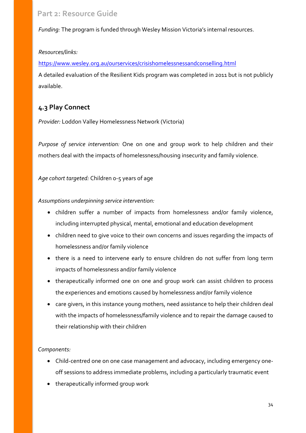*Funding:* The program is funded through Wesley Mission Victoria's internal resources.

#### *Resources/links:*

<https://www.wesley.org.au/ourservices/crisishomelessnessandconselling.html>

A detailed evaluation of the Resilient Kids program was completed in 2011 but is not publicly available.

# <span id="page-33-0"></span>**4.3 Play Connect**

*Provider:* Loddon Valley Homelessness Network (Victoria)

*Purpose of service intervention:* One on one and group work to help children and their mothers deal with the impacts of homelessness/housing insecurity and family violence.

*Age cohort targeted:* Children 0-5 years of age

#### *Assumptions underpinning service intervention:*

- children suffer a number of impacts from homelessness and/or family violence, including interrupted physical, mental, emotional and education development
- children need to give voice to their own concerns and issues regarding the impacts of homelessness and/or family violence
- there is a need to intervene early to ensure children do not suffer from long term impacts of homelessness and/or family violence
- therapeutically informed one on one and group work can assist children to process the experiences and emotions caused by homelessness and/or family violence
- care givers, in this instance young mothers, need assistance to help their children deal with the impacts of homelessness/family violence and to repair the damage caused to their relationship with their children

#### *Components:*

- Child-centred one on one case management and advocacy, including emergency oneoff sessions to address immediate problems, including a particularly traumatic event
- therapeutically informed group work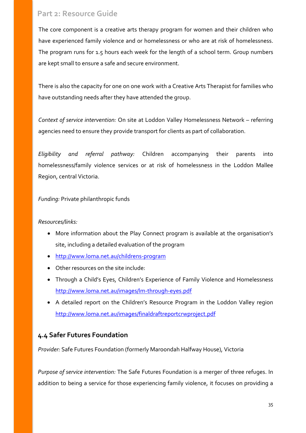The core component is a creative arts therapy program for women and their children who have experienced family violence and or homelessness or who are at risk of homelessness. The program runs for 1.5 hours each week for the length of a school term. Group numbers are kept small to ensure a safe and secure environment.

There is also the capacity for one on one work with a Creative Arts Therapist for families who have outstanding needs after they have attended the group.

*Context of service intervention:* On site at Loddon Valley Homelessness Network – referring agencies need to ensure they provide transport for clients as part of collaboration.

*Eligibility and referral pathway:* Children accompanying their parents into homelessness/family violence services or at risk of homelessness in the Loddon Mallee Region, central Victoria.

#### *Funding:* Private philanthropic funds

#### *Resources/links:*

- More information about the Play Connect program is available at the organisation's site, including a detailed evaluation of the program
- <http://www.loma.net.au/childrens-program>
- Other resources on the site include:
- Through a Child's Eyes, Children's Experience of Family Violence and Homelessness <http://www.loma.net.au/images/lm-through-eyes.pdf>
- A detailed report on the Children's Resource Program in the Loddon Valley region <http://www.loma.net.au/images/finaldraftreportcrwproject.pdf>

### <span id="page-34-0"></span>**4.4 Safer Futures Foundation**

*Provider:* Safe Futures Foundation (formerly Maroondah Halfway House), Victoria

*Purpose of service intervention:* The Safe Futures Foundation is a merger of three refuges. In addition to being a service for those experiencing family violence, it focuses on providing a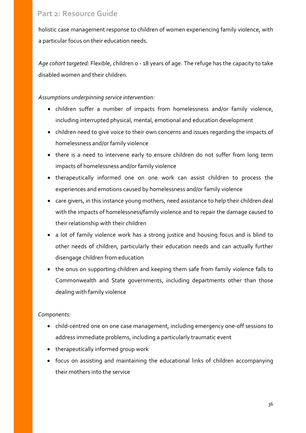holistic case management response to children of women experiencing family violence, with a particular focus on their education needs.

*Age cohort targeted:* Flexible, children 0 - 18 years of age. The refuge has the capacity to take disabled women and their children.

#### *Assumptions underpinning service intervention:*

- children suffer a number of impacts from homelessness and/or family violence, including interrupted physical, mental, emotional and education development
- children need to give voice to their own concerns and issues regarding the impacts of homelessness and/or family violence
- there is a need to intervene early to ensure children do not suffer from long term impacts of homelessness and/or family violence
- therapeutically informed one on one work can assist children to process the experiences and emotions caused by homelessness and/or family violence
- care givers, in this instance young mothers, need assistance to help their children deal with the impacts of homelessness/family violence and to repair the damage caused to their relationship with their children
- a lot of family violence work has a strong justice and housing focus and is blind to other needs of children, particularly their education needs and can actually further disengage children from education
- the onus on supporting children and keeping them safe from family violence falls to Commonwealth and State governments, including departments other than those dealing with family violence

#### *Components:*

- child-centred one on one case management, including emergency one-off sessions to address immediate problems, including a particularly traumatic event
- therapeutically informed group work
- focus on assisting and maintaining the educational links of children accompanying their mothers into the service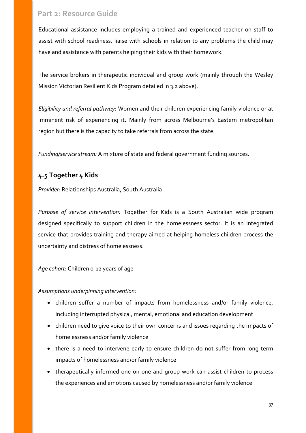Educational assistance includes employing a trained and experienced teacher on staff to assist with school readiness, liaise with schools in relation to any problems the child may have and assistance with parents helping their kids with their homework.

The service brokers in therapeutic individual and group work (mainly through the Wesley Mission Victorian Resilient Kids Program detailed in 3.2 above).

*Eligibility and referral pathway:* Women and their children experiencing family violence or at imminent risk of experiencing it. Mainly from across Melbourne's Eastern metropolitan region but there is the capacity to take referrals from across the state.

*Funding/service stream:* A mixture of state and federal government funding sources.

### <span id="page-36-0"></span>**4.5 Together 4 Kids**

*Provider:* Relationships Australia, South Australia

*Purpose of service intervention:* Together for Kids is a South Australian wide program designed specifically to support children in the homelessness sector. It is an integrated service that provides training and therapy aimed at helping homeless children process the uncertainty and distress of homelessness.

*Age cohort:* Children 0-12 years of age

*Assumptions underpinning intervention:*

- children suffer a number of impacts from homelessness and/or family violence, including interrupted physical, mental, emotional and education development
- children need to give voice to their own concerns and issues regarding the impacts of homelessness and/or family violence
- there is a need to intervene early to ensure children do not suffer from long term impacts of homelessness and/or family violence
- therapeutically informed one on one and group work can assist children to process the experiences and emotions caused by homelessness and/or family violence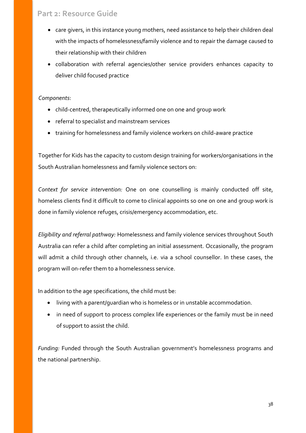- care givers, in this instance young mothers, need assistance to help their children deal with the impacts of homelessness/family violence and to repair the damage caused to their relationship with their children
- collaboration with referral agencies/other service providers enhances capacity to deliver child focused practice

#### *Components*:

- child-centred, therapeutically informed one on one and group work
- referral to specialist and mainstream services
- training for homelessness and family violence workers on child-aware practice

Together for Kids has the capacity to custom design training for workers/organisations in the South Australian homelessness and family violence sectors on:

*Context for service intervention:* One on one counselling is mainly conducted off site, homeless clients find it difficult to come to clinical appoints so one on one and group work is done in family violence refuges, crisis/emergency accommodation, etc.

*Eligibility and referral pathway:* Homelessness and family violence services throughout South Australia can refer a child after completing an initial assessment. Occasionally, the program will admit a child through other channels, i.e. via a school counsellor. In these cases, the program will on-refer them to a homelessness service.

In addition to the age specifications, the child must be:

- living with a parent/guardian who is homeless or in unstable accommodation.
- in need of support to process complex life experiences or the family must be in need of support to assist the child.

*Funding:* Funded through the South Australian government's homelessness programs and the national partnership.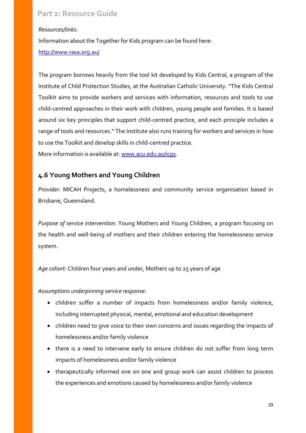#### *Resources/links:*

Information about the Together for Kids program can be found here:

#### <http://www.rasa.org.au/>

The program borrows heavily from the tool kit developed by Kids Central, a program of the Institute of Child Protection Studies, at the Australian Catholic University. "The Kids Central Toolkit aims to provide workers and services with information, resources and tools to use child-centred approaches in their work with children, young people and families. It is based around six key principles that support child-centred practice, and each principle includes a range of tools and resources." The Institute also runs training for workers and services in how to use the Toolkit and develop skills in child-centred practice.

More information is available at: [www.acu.edu.au/icps.](http://www.acu.edu.au/icps)

### <span id="page-38-0"></span>**4.6 Young Mothers and Young Children**

*Provider:* MICAH Projects, a homelessness and community service organisation based in Brisbane, Queensland.

*Purpose of service intervention:* Young Mothers and Young Children, a program focusing on the health and well-being of mothers and their children entering the homelessness service system.

*Age cohort:* Children four years and under, Mothers up to 25 years of age

*Assumptions underpinning service response:*

- children suffer a number of impacts from homelessness and/or family violence, including interrupted physical, mental, emotional and education development
- children need to give voice to their own concerns and issues regarding the impacts of homelessness and/or family violence
- there is a need to intervene early to ensure children do not suffer from long term impacts of homelessness and/or family violence
- therapeutically informed one on one and group work can assist children to process the experiences and emotions caused by homelessness and/or family violence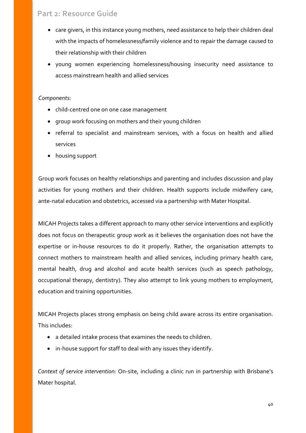- care givers, in this instance young mothers, need assistance to help their children deal with the impacts of homelessness/family violence and to repair the damage caused to their relationship with their children
- young women experiencing homelessness/housing insecurity need assistance to access mainstream health and allied services

#### *Components:*

- child-centred one on one case management
- group work focusing on mothers and their young children
- referral to specialist and mainstream services, with a focus on health and allied services
- housing support

Group work focuses on healthy relationships and parenting and includes discussion and play activities for young mothers and their children. Health supports include midwifery care, ante-natal education and obstetrics, accessed via a partnership with Mater Hospital.

MICAH Projects takes a different approach to many other service interventions and explicitly does not focus on therapeutic group work as it believes the organisation does not have the expertise or in-house resources to do it properly. Rather, the organisation attempts to connect mothers to mainstream health and allied services, including primary health care, mental health, drug and alcohol and acute health services (such as speech pathology, occupational therapy, dentistry). They also attempt to link young mothers to employment, education and training opportunities.

MICAH Projects places strong emphasis on being child aware across its entire organisation. This includes:

- a detailed intake process that examines the needs to children.
- in-house support for staff to deal with any issues they identify.

*Context of service intervention:* On-site, including a clinic run in partnership with Brisbane's Mater hospital.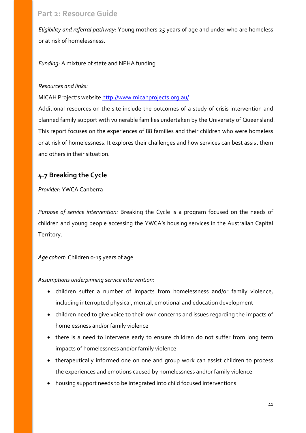*Eligibility and referral pathway:* Young mothers 25 years of age and under who are homeless or at risk of homelessness.

*Funding:* A mixture of state and NPHA funding

#### *Resources and links:*

MICAH Project's website<http://www.micahprojects.org.au/>

Additional resources on the site include the outcomes of a study of crisis intervention and planned family support with vulnerable families undertaken by the University of Queensland. This report focuses on the experiences of 88 families and their children who were homeless or at risk of homelessness. It explores their challenges and how services can best assist them and others in their situation.

### <span id="page-40-0"></span>**4.7 Breaking the Cycle**

*Provider:* YWCA Canberra

*Purpose of service intervention:* Breaking the Cycle is a program focused on the needs of children and young people accessing the YWCA's housing services in the Australian Capital Territory.

*Age cohort:* Children 0-15 years of age

*Assumptions underpinning service intervention:*

- children suffer a number of impacts from homelessness and/or family violence, including interrupted physical, mental, emotional and education development
- children need to give voice to their own concerns and issues regarding the impacts of homelessness and/or family violence
- there is a need to intervene early to ensure children do not suffer from long term impacts of homelessness and/or family violence
- therapeutically informed one on one and group work can assist children to process the experiences and emotions caused by homelessness and/or family violence
- housing support needs to be integrated into child focused interventions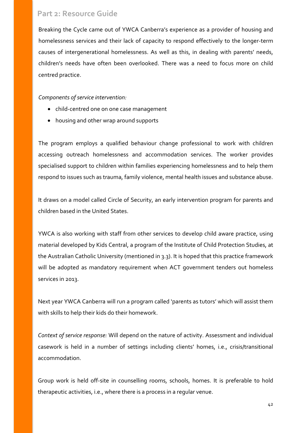Breaking the Cycle came out of YWCA Canberra's experience as a provider of housing and homelessness services and their lack of capacity to respond effectively to the longer-term causes of intergenerational homelessness. As well as this, in dealing with parents' needs, children's needs have often been overlooked. There was a need to focus more on child centred practice.

*Components of service intervention:*

- child-centred one on one case management
- housing and other wrap around supports

The program employs a qualified behaviour change professional to work with children accessing outreach homelessness and accommodation services. The worker provides specialised support to children within families experiencing homelessness and to help them respond to issues such as trauma, family violence, mental health issues and substance abuse.

It draws on a model called Circle of Security, an early intervention program for parents and children based in the United States.

YWCA is also working with staff from other services to develop child aware practice, using material developed by Kids Central, a program of the Institute of Child Protection Studies, at the Australian Catholic University (mentioned in 3.3). It is hoped that this practice framework will be adopted as mandatory requirement when ACT government tenders out homeless services in 2013.

Next year YWCA Canberra will run a program called 'parents as tutors' which will assist them with skills to help their kids do their homework.

*Context of service response:* Will depend on the nature of activity. Assessment and individual casework is held in a number of settings including clients' homes, i.e., crisis/transitional accommodation.

Group work is held off-site in counselling rooms, schools, homes. It is preferable to hold therapeutic activities, i.e., where there is a process in a regular venue.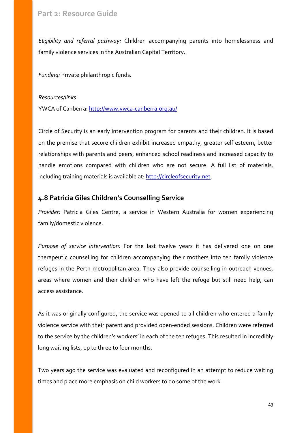*Eligibility and referral pathway:* Children accompanying parents into homelessness and family violence services in the Australian Capital Territory.

*Funding:* Private philanthropic funds.

#### *Resources/links:*

YWCA of Canberra:<http://www.ywca-canberra.org.au/>

Circle of Security is an early intervention program for parents and their children. It is based on the premise that secure children exhibit increased empathy, greater self esteem, better relationships with parents and peers, enhanced school readiness and increased capacity to handle emotions compared with children who are not secure. A full list of materials, including training materials is available at: [http://circleofsecurity.net.](http://circleofsecurity.net/)

### <span id="page-42-0"></span>**4.8 Patricia Giles Children's Counselling Service**

*Provider:* Patricia Giles Centre, a service in Western Australia for women experiencing family/domestic violence.

*Purpose of service intervention:* For the last twelve years it has delivered one on one therapeutic counselling for children accompanying their mothers into ten family violence refuges in the Perth metropolitan area. They also provide counselling in outreach venues, areas where women and their children who have left the refuge but still need help, can access assistance.

As it was originally configured, the service was opened to all children who entered a family violence service with their parent and provided open-ended sessions. Children were referred to the service by the children's workers' in each of the ten refuges. This resulted in incredibly long waiting lists, up to three to four months.

Two years ago the service was evaluated and reconfigured in an attempt to reduce waiting times and place more emphasis on child workers to do some of the work.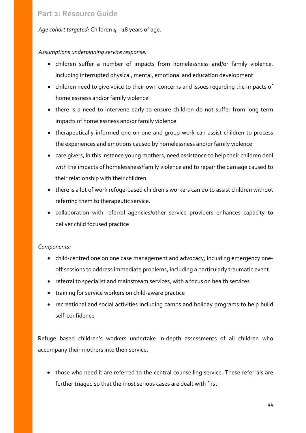*Age cohort targeted:* Children 4 – 18 years of age.

#### *Assumptions underpinning service response:*

- children suffer a number of impacts from homelessness and/or family violence, including interrupted physical, mental, emotional and education development
- children need to give voice to their own concerns and issues regarding the impacts of homelessness and/or family violence
- there is a need to intervene early to ensure children do not suffer from long term impacts of homelessness and/or family violence
- therapeutically informed one on one and group work can assist children to process the experiences and emotions caused by homelessness and/or family violence
- care givers, in this instance young mothers, need assistance to help their children deal with the impacts of homelessness/family violence and to repair the damage caused to their relationship with their children
- there is a lot of work refuge-based children's workers can do to assist children without referring them to therapeutic service.
- collaboration with referral agencies/other service providers enhances capacity to deliver child focused practice

#### *Components:*

- child-centred one on one case management and advocacy, including emergency oneoff sessions to address immediate problems, including a particularly traumatic event
- referral to specialist and mainstream services, with a focus on health services
- training for service workers on child-aware practice
- recreational and social activities including camps and holiday programs to help build self-confidence

Refuge based children's workers undertake in-depth assessments of all children who accompany their mothers into their service.

• those who need it are referred to the central counselling service. These referrals are further triaged so that the most serious cases are dealt with first.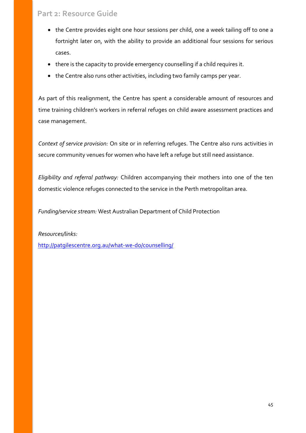- the Centre provides eight one hour sessions per child, one a week tailing off to one a fortnight later on, with the ability to provide an additional four sessions for serious cases.
- there is the capacity to provide emergency counselling if a child requires it.
- the Centre also runs other activities, including two family camps per year.

As part of this realignment, the Centre has spent a considerable amount of resources and time training children's workers in referral refuges on child aware assessment practices and case management.

*Context of service provision:* On site or in referring refuges. The Centre also runs activities in secure community venues for women who have left a refuge but still need assistance.

*Eligibility and referral pathway:* Children accompanying their mothers into one of the ten domestic violence refuges connected to the service in the Perth metropolitan area.

*Funding/service stream:* West Australian Department of Child Protection

*Resources/links:* <http://patgilescentre.org.au/what-we-do/counselling/>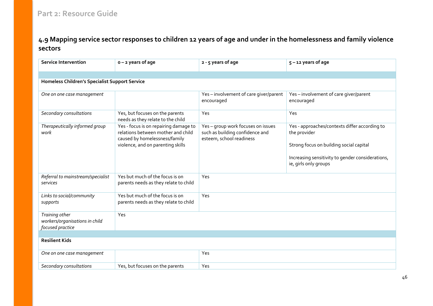# **4.9 Mapping service sector responses to children 12 years of age and under in the homelessness and family violence sectors**

<span id="page-45-0"></span>

| <b>Service Intervention</b>                                          | o - 2 years of age                                                                                                                                | 2 - 5 years of age                                                                                | $5 - 12$ years of age                                                                                                                                                                 |
|----------------------------------------------------------------------|---------------------------------------------------------------------------------------------------------------------------------------------------|---------------------------------------------------------------------------------------------------|---------------------------------------------------------------------------------------------------------------------------------------------------------------------------------------|
|                                                                      |                                                                                                                                                   |                                                                                                   |                                                                                                                                                                                       |
| <b>Homeless Children's Specialist Support Service</b>                |                                                                                                                                                   |                                                                                                   |                                                                                                                                                                                       |
| One on one case management                                           |                                                                                                                                                   | Yes - involvement of care giver/parent<br>encouraged                                              | Yes-involvement of care giver/parent<br>encouraged                                                                                                                                    |
| Secondary consultations                                              | Yes, but focuses on the parents<br>needs as they relate to the child                                                                              | Yes                                                                                               | Yes                                                                                                                                                                                   |
| Therapeutically informed group<br>work                               | Yes - focus is on repairing damage to<br>relations between mother and child<br>caused by homelessness/family<br>violence, and on parenting skills | Yes - group work focuses on issues<br>such as building confidence and<br>esteem, school readiness | Yes - approaches/contexts differ according to<br>the provider<br>Strong focus on building social capital<br>Increasing sensitivity to gender considerations,<br>ie, girls only groups |
| Referral to mainstream/specialist<br>services                        | Yes but much of the focus is on<br>parents needs as they relate to child                                                                          | Yes                                                                                               |                                                                                                                                                                                       |
| Links to social/community<br>supports                                | Yes but much of the focus is on<br>parents needs as they relate to child                                                                          | Yes                                                                                               |                                                                                                                                                                                       |
| Training other<br>workers/organisations in child<br>focused practice | Yes                                                                                                                                               |                                                                                                   |                                                                                                                                                                                       |
|                                                                      |                                                                                                                                                   |                                                                                                   |                                                                                                                                                                                       |
| <b>Resilient Kids</b>                                                |                                                                                                                                                   |                                                                                                   |                                                                                                                                                                                       |
| One on one case management                                           |                                                                                                                                                   | Yes                                                                                               |                                                                                                                                                                                       |
| Secondary consultations                                              | Yes, but focuses on the parents                                                                                                                   | Yes                                                                                               |                                                                                                                                                                                       |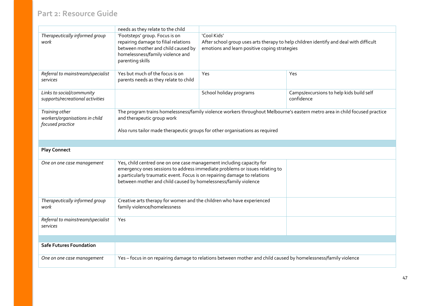|                                                                      | needs as they relate to the child                                                                                                                                                                                                         |                                                                                                                                                        |                                                        |
|----------------------------------------------------------------------|-------------------------------------------------------------------------------------------------------------------------------------------------------------------------------------------------------------------------------------------|--------------------------------------------------------------------------------------------------------------------------------------------------------|--------------------------------------------------------|
| Therapeutically informed group<br>work                               | 'Footsteps' group. Focus is on<br>repairing damage to filial relations<br>between mother and child caused by<br>homelessness/family violence and<br>parenting skills                                                                      | 'Cool Kids'<br>After school group uses arts therapy to help children identify and deal with difficult<br>emotions and learn positive coping strategies |                                                        |
| Referral to mainstream/specialist<br>services                        | Yes but much of the focus is on<br>parents needs as they relate to child                                                                                                                                                                  | Yes                                                                                                                                                    | Yes                                                    |
| Links to social/community<br>supports/recreational activities        |                                                                                                                                                                                                                                           | School holiday programs                                                                                                                                | Camps/excursions to help kids build self<br>confidence |
| Training other<br>workers/organisations in child<br>focused practice | The program trains homelessness/family violence workers throughout Melbourne's eastern metro area in child focused practice<br>and therapeutic group work<br>Also runs tailor made therapeutic groups for other organisations as required |                                                                                                                                                        |                                                        |
|                                                                      |                                                                                                                                                                                                                                           |                                                                                                                                                        |                                                        |
| <b>Play Connect</b>                                                  |                                                                                                                                                                                                                                           |                                                                                                                                                        |                                                        |
| One on one case management                                           | Yes, child centred one on one case management including capacity for<br>a particularly traumatic event. Focus is on repairing damage to relations<br>between mother and child caused by homelessness/family violence                      | emergency ones sessions to address immediate problems or issues relating to                                                                            |                                                        |
| Therapeutically informed group<br>work                               | Creative arts therapy for women and the children who have experienced<br>family violence/homelessness                                                                                                                                     |                                                                                                                                                        |                                                        |
| Referral to mainstream/specialist<br>services                        | Yes                                                                                                                                                                                                                                       |                                                                                                                                                        |                                                        |
|                                                                      |                                                                                                                                                                                                                                           |                                                                                                                                                        |                                                        |
| <b>Safe Futures Foundation</b>                                       |                                                                                                                                                                                                                                           |                                                                                                                                                        |                                                        |
| One on one case management                                           |                                                                                                                                                                                                                                           | Yes - focus in on repairing damage to relations between mother and child caused by homelessness/family violence                                        |                                                        |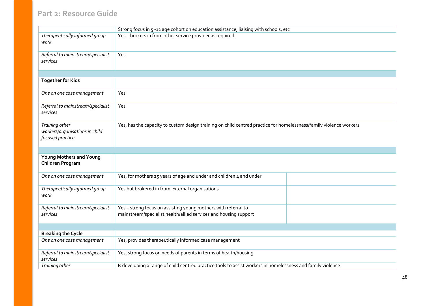|                                                                      | Strong focus in 5 -12 age cohort on education assistance, liaising with schools, etc                                               |  |
|----------------------------------------------------------------------|------------------------------------------------------------------------------------------------------------------------------------|--|
| Therapeutically informed group<br>work                               | Yes - brokers in from other service provider as required                                                                           |  |
| Referral to mainstream/specialist<br>services                        | Yes                                                                                                                                |  |
|                                                                      |                                                                                                                                    |  |
| <b>Together for Kids</b>                                             |                                                                                                                                    |  |
| One on one case management                                           | Yes                                                                                                                                |  |
| Referral to mainstream/specialist<br>services                        | Yes                                                                                                                                |  |
| Training other<br>workers/organisations in child<br>focused practice | Yes, has the capacity to custom design training on child centred practice for homelessness/family violence workers                 |  |
|                                                                      |                                                                                                                                    |  |
| <b>Young Mothers and Young</b><br>Children Program                   |                                                                                                                                    |  |
| One on one case management                                           | Yes, for mothers 25 years of age and under and children 4 and under                                                                |  |
| Therapeutically informed group<br>work                               | Yes but brokered in from external organisations                                                                                    |  |
| Referral to mainstream/specialist<br>services                        | Yes - strong focus on assisting young mothers with referral to<br>mainstream/specialist health/allied services and housing support |  |
|                                                                      |                                                                                                                                    |  |
| <b>Breaking the Cycle</b>                                            |                                                                                                                                    |  |
| One on one case management                                           | Yes, provides therapeutically informed case management                                                                             |  |
| Referral to mainstream/specialist<br>services                        | Yes, strong focus on needs of parents in terms of health/housing                                                                   |  |
| Training other                                                       | Is developing a range of child centred practice tools to assist workers in homelessness and family violence                        |  |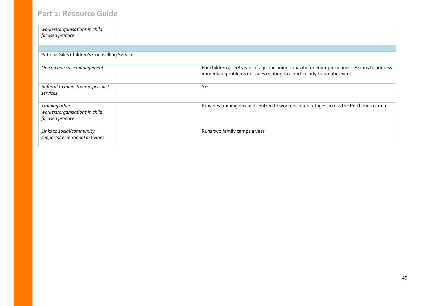| workers/organisations in child<br>focused practice                   |                                                                                                                                                                           |
|----------------------------------------------------------------------|---------------------------------------------------------------------------------------------------------------------------------------------------------------------------|
|                                                                      |                                                                                                                                                                           |
| Patricia Giles Children's Counselling Service                        |                                                                                                                                                                           |
| One on one case management                                           | For children $4 - 18$ years of age, including capacity for emergency ones sessions to address<br>immediate problems or issues relating to a particularly traumatic event. |
| Referral to mainstream/specialist<br>services                        | Yes                                                                                                                                                                       |
| Training other<br>workers/organisations in child<br>focused practice | Provides training on child centred to workers in ten refuges across the Perth metro area                                                                                  |
| Links to social/community<br>supports/recreational activities        | Runs two family camps a year                                                                                                                                              |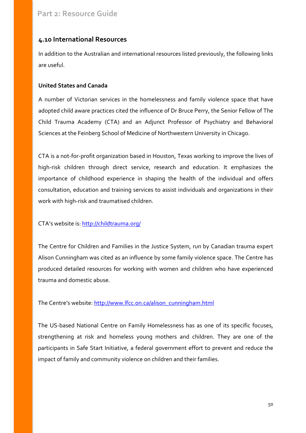### <span id="page-49-0"></span>**4.10 International Resources**

In addition to the Australian and international resources listed previously, the following links are useful.

#### **United States and Canada**

A number of Victorian services in the homelessness and family violence space that have adopted child aware practices cited the influence of Dr Bruce Perry, the Senior Fellow of The Child Trauma Academy (CTA) and an Adjunct Professor of Psychiatry and Behavioral Sciences at the Feinberg School of Medicine of Northwestern University in Chicago.

CTA is a not-for-profit organization based in Houston, Texas working to improve the lives of high-risk children through direct service, research and education. It emphasizes the importance of childhood experience in shaping the health of the individual and offers consultation, education and training services to assist individuals and organizations in their work with high-risk and traumatised children.

CTA's website is:<http://childtrauma.org/>

The Centre for Children and Families in the Justice System, run by Canadian trauma expert Alison Cunningham was cited as an influence by some family violence space. The Centre has produced detailed resources for working with women and children who have experienced trauma and domestic abuse.

The Centre's website: [http://www.lfcc.on.ca/alison\\_cunningham.html](http://www.lfcc.on.ca/alison_cunningham.html)

The US-based National Centre on Family Homelessness has as one of its specific focuses, strengthening at risk and homeless young mothers and children. They are one of the participants in Safe Start Initiative, a federal government effort to prevent and reduce the impact of family and community violence on children and their families.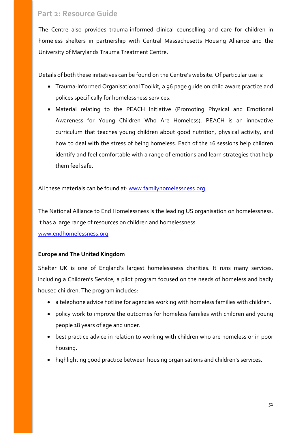The Centre also provides trauma-informed clinical counselling and care for children in homeless shelters in partnership with Central Massachusetts Housing Alliance and the University of Marylands Trauma Treatment Centre.

Details of both these initiatives can be found on the Centre's website. Of particular use is:

- Trauma-Informed Organisational Toolkit, a 96 page guide on child aware practice and polices specifically for homelessness services.
- Material relating to the PEACH Initiative (Promoting Physical and Emotional Awareness for Young Children Who Are Homeless). PEACH is an innovative curriculum that teaches young children about good nutrition, physical activity, and how to deal with the stress of being homeless. Each of the 16 sessions help children identify and feel comfortable with a range of emotions and learn strategies that help them feel safe.

All these materials can be found at: [www.familyhomelessness.org](http://www.familyhomelessness.org/)

The National Alliance to End Homelessness is the leading US organisation on homelessness. It has a large range of resources on children and homelessness.

[www.endhomelessness.org](http://www.endhomelessness.org/)

#### **Europe and The United Kingdom**

Shelter UK is one of England's largest homelessness charities. It runs many services, including a Children's Service, a pilot program focused on the needs of homeless and badly housed children. The program includes:

- a telephone advice hotline for agencies working with homeless families with children.
- policy work to improve the outcomes for homeless families with children and young people 18 years of age and under.
- best practice advice in relation to working with children who are homeless or in poor housing.
- highlighting good practice between housing organisations and children's services.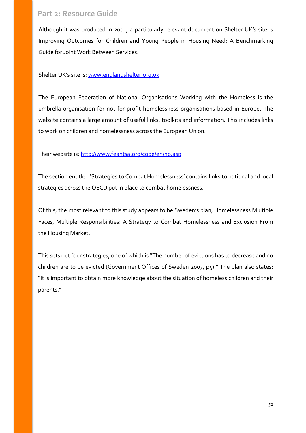Although it was produced in 2001, a particularly relevant document on Shelter UK's site is Improving Outcomes for Children and Young People in Housing Need: A Benchmarking Guide for Joint Work Between Services.

Shelter UK's site is[: www.englandshelter.org.uk](http://www.englandshelter.org.uk/)

The European Federation of National Organisations Working with the Homeless is the umbrella organisation for not-for-profit homelessness organisations based in Europe. The website contains a large amount of useful links, toolkits and information. This includes links to work on children and homelessness across the European Union.

Their website is:<http://www.feantsa.org/code/en/hp.asp>

The section entitled 'Strategies to Combat Homelessness' contains links to national and local strategies across the OECD put in place to combat homelessness.

Of this, the most relevant to this study appears to be Sweden's plan, Homelessness Multiple Faces, Multiple Responsibilities: A Strategy to Combat Homelessness and Exclusion From the Housing Market.

This sets out four strategies, one of which is "The number of evictions has to decrease and no children are to be evicted (Government Offices of Sweden 2007, p5)." The plan also states: "It is important to obtain more knowledge about the situation of homeless children and their parents."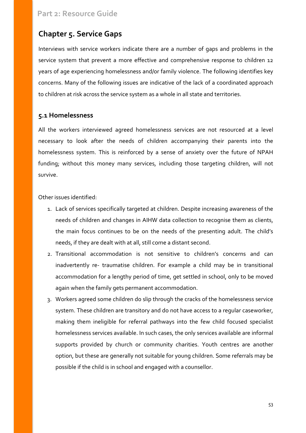# <span id="page-52-0"></span>**Chapter 5. Service Gaps**

Interviews with service workers indicate there are a number of gaps and problems in the service system that prevent a more effective and comprehensive response to children 12 years of age experiencing homelessness and/or family violence. The following identifies key concerns. Many of the following issues are indicative of the lack of a coordinated approach to children at risk across the service system as a whole in all state and territories.

### <span id="page-52-1"></span>**5.1 Homelessness**

All the workers interviewed agreed homelessness services are not resourced at a level necessary to look after the needs of children accompanying their parents into the homelessness system. This is reinforced by a sense of anxiety over the future of NPAH funding; without this money many services, including those targeting children, will not survive.

Other issues identified:

- 1. Lack of services specifically targeted at children. Despite increasing awareness of the needs of children and changes in AIHW data collection to recognise them as clients, the main focus continues to be on the needs of the presenting adult. The child's needs, if they are dealt with at all, still come a distant second.
- 2. Transitional accommodation is not sensitive to children's concerns and can inadvertently re- traumatise children. For example a child may be in transitional accommodation for a lengthy period of time, get settled in school, only to be moved again when the family gets permanent accommodation.
- 3. Workers agreed some children do slip through the cracks of the homelessness service system. These children are transitory and do not have access to a regular caseworker, making them ineligible for referral pathways into the few child focused specialist homelessness services available. In such cases, the only services available are informal supports provided by church or community charities. Youth centres are another option, but these are generally not suitable for young children. Some referrals may be possible if the child is in school and engaged with a counsellor.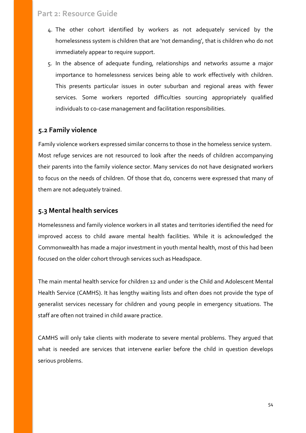- 4. The other cohort identified by workers as not adequately serviced by the homelessness system is children that are 'not demanding', that is children who do not immediately appear to require support.
- 5. In the absence of adequate funding, relationships and networks assume a major importance to homelessness services being able to work effectively with children. This presents particular issues in outer suburban and regional areas with fewer services. Some workers reported difficulties sourcing appropriately qualified individuals to co-case management and facilitation responsibilities.

### <span id="page-53-0"></span>**5.2 Family violence**

Family violence workers expressed similar concerns to those in the homeless service system. Most refuge services are not resourced to look after the needs of children accompanying their parents into the family violence sector. Many services do not have designated workers to focus on the needs of children. Of those that do, concerns were expressed that many of them are not adequately trained.

#### <span id="page-53-1"></span>**5.3 Mental health services**

Homelessness and family violence workers in all states and territories identified the need for improved access to child aware mental health facilities. While it is acknowledged the Commonwealth has made a major investment in youth mental health, most of this had been focused on the older cohort through services such as Headspace.

The main mental health service for children 12 and under is the Child and Adolescent Mental Health Service (CAMHS). It has lengthy waiting lists and often does not provide the type of generalist services necessary for children and young people in emergency situations. The staff are often not trained in child aware practice.

CAMHS will only take clients with moderate to severe mental problems. They argued that what is needed are services that intervene earlier before the child in question develops serious problems.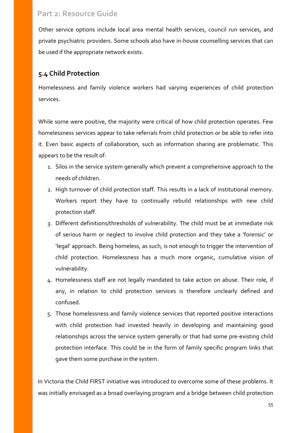Other service options include local area mental health services, council run services, and private psychiatric providers. Some schools also have in-house counselling services that can be used if the appropriate network exists.

### <span id="page-54-0"></span>**5.4 Child Protection**

Homelessness and family violence workers had varying experiences of child protection services.

While some were positive, the majority were critical of how child protection operates. Few homelessness services appear to take referrals from child protection or be able to refer into it. Even basic aspects of collaboration, such as information sharing are problematic. This appears to be the result of:

- 1. Silos in the service system generally which prevent a comprehensive approach to the needs of children.
- 2. High turnover of child protection staff. This results in a lack of institutional memory. Workers report they have to continually rebuild relationships with new child protection staff.
- 3. Different definitions/thresholds of vulnerability. The child must be at immediate risk of serious harm or neglect to involve child protection and they take a 'forensic' or 'legal' approach. Being homeless, as such, is not enough to trigger the intervention of child protection. Homelessness has a much more organic, cumulative vision of vulnerability.
- 4. Homelessness staff are not legally mandated to take action on abuse. Their role, if any, in relation to child protection services is therefore unclearly defined and confused.
- 5. Those homelessness and family violence services that reported positive interactions with child protection had invested heavily in developing and maintaining good relationships across the service system generally or that had some pre-existing child protection interface. This could be in the form of family specific program links that gave them some purchase in the system.

In Victoria the Child FIRST initiative was introduced to overcome some of these problems. It was initially envisaged as a broad overlaying program and a bridge between child protection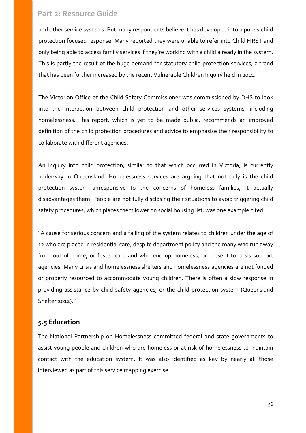and other service systems. But many respondents believe it has developed into a purely child protection focused response. Many reported they were unable to refer into Child FIRST and only being able to access family services if they're working with a child already in the system. This is partly the result of the huge demand for statutory child protection services, a trend that has been further increased by the recent Vulnerable Children Inquiry held in 2011.

The Victorian Office of the Child Safety Commissioner was commissioned by DHS to look into the interaction between child protection and other services systems, including homelessness. This report, which is yet to be made public, recommends an improved definition of the child protection procedures and advice to emphasise their responsibility to collaborate with different agencies.

An inquiry into child protection, similar to that which occurred in Victoria, is currently underway in Queensland. Homelessness services are arguing that not only is the child protection system unresponsive to the concerns of homeless families, it actually disadvantages them. People are not fully disclosing their situations to avoid triggering child safety procedures, which places them lower on social housing list, was one example cited.

"A cause for serious concern and a failing of the system relates to children under the age of 12 who are placed in residential care, despite department policy and the many who run away from out of home, or foster care and who end up homeless, or present to crisis support agencies. Many crisis and homelessness shelters and homelessness agencies are not funded or properly resourced to accommodate young children. There is often a slow response in providing assistance by child safety agencies, or the child protection system (Queensland Shelter 2012)."

# <span id="page-55-0"></span>**5.5 Education**

The National Partnership on Homelessness committed federal and state governments to assist young people and children who are homeless or at risk of homelessness to maintain contact with the education system. It was also identified as key by nearly all those interviewed as part of this service mapping exercise.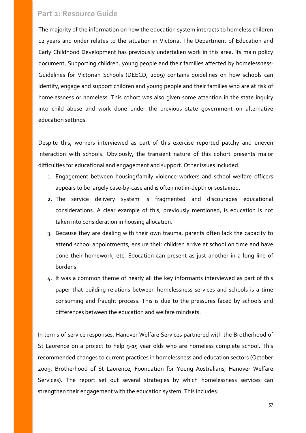The majority of the information on how the education system interacts to homeless children 12 years and under relates to the situation in Victoria. The Department of Education and Early Childhood Development has previously undertaken work in this area. Its main policy document, Supporting children, young people and their families affected by homelessness: Guidelines for Victorian Schools (DEECD, 2009) contains guidelines on how schools can identify, engage and support children and young people and their families who are at risk of homelessness or homeless. This cohort was also given some attention in the state inquiry into child abuse and work done under the previous state government on alternative education settings.

Despite this, workers interviewed as part of this exercise reported patchy and uneven interaction with schools. Obviously, the transient nature of this cohort presents major difficulties for educational and engagement and support. Other issues included:

- 1. Engagement between housing/family violence workers and school welfare officers appears to be largely case-by-case and is often not in-depth or sustained.
- 2. The service delivery system is fragmented and discourages educational considerations. A clear example of this, previously mentioned, is education is not taken into consideration in housing allocation.
- 3. Because they are dealing with their own trauma, parents often lack the capacity to attend school appointments, ensure their children arrive at school on time and have done their homework, etc. Education can present as just another in a long line of burdens.
- 4. It was a common theme of nearly all the key informants interviewed as part of this paper that building relations between homelessness services and schools is a time consuming and fraught process. This is due to the pressures faced by schools and differences between the education and welfare mindsets.

In terms of service responses, Hanover Welfare Services partnered with the Brotherhood of St Laurence on a project to help 9-15 year olds who are homeless complete school. This recommended changes to current practices in homelessness and education sectors (October 2009, Brotherhood of St Laurence, Foundation for Young Australians, Hanover Welfare Services). The report set out several strategies by which homelessness services can strengthen their engagement with the education system. This includes: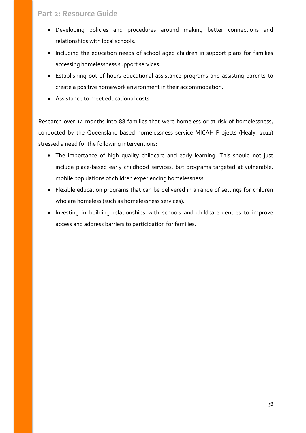- Developing policies and procedures around making better connections and relationships with local schools.
- Including the education needs of school aged children in support plans for families accessing homelessness support services.
- Establishing out of hours educational assistance programs and assisting parents to create a positive homework environment in their accommodation.
- Assistance to meet educational costs.

Research over 14 months into 88 families that were homeless or at risk of homelessness, conducted by the Queensland-based homelessness service MICAH Projects (Healy, 2011) stressed a need for the following interventions:

- The importance of high quality childcare and early learning. This should not just include place-based early childhood services, but programs targeted at vulnerable, mobile populations of children experiencing homelessness.
- Flexible education programs that can be delivered in a range of settings for children who are homeless (such as homelessness services).
- Investing in building relationships with schools and childcare centres to improve access and address barriers to participation for families.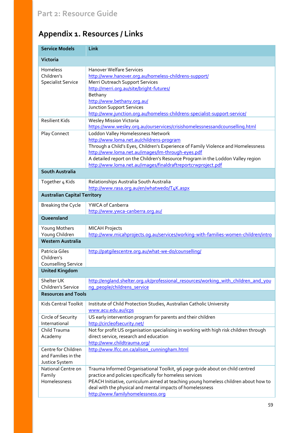# <span id="page-58-0"></span>**Appendix 1. Resources / Links**

| <b>Service Models</b>                                        | Link                                                                                                                                                                                                                                                                                                                                                                         |
|--------------------------------------------------------------|------------------------------------------------------------------------------------------------------------------------------------------------------------------------------------------------------------------------------------------------------------------------------------------------------------------------------------------------------------------------------|
| Victoria                                                     |                                                                                                                                                                                                                                                                                                                                                                              |
| Homeless<br>Children's<br><b>Specialist Service</b>          | <b>Hanover Welfare Services</b><br>http://www.hanover.org.au/homeless-childrens-support/<br>Merri Outreach Support Services<br>http://merri.org.au/site/bright-futures/<br>Bethany<br>http://www.bethany.org.au/<br><b>Junction Support Services</b><br>http://www.junction.org.au/homeless-childrens-specialist-support-service/                                            |
| <b>Resilient Kids</b>                                        | <b>Wesley Mission Victoria</b><br>https://www.wesley.org.au/ourservices/crisishomelessnessandcounselling.html                                                                                                                                                                                                                                                                |
| Play Connect                                                 | Loddon Valley Homelessness Network<br>http://www.loma.net.au/childrens-program<br>Through a Child's Eyes, Children's Experience of Family Violence and Homelessness<br>http://www.loma.net.au/images/lm-through-eyes.pdf<br>A detailed report on the Children's Resource Program in the Loddon Valley region<br>http://www.loma.net.au/images/finaldraftreportcrwproject.pdf |
| <b>South Australia</b>                                       |                                                                                                                                                                                                                                                                                                                                                                              |
| Together 4 Kids                                              | Relationships Australia South Australia<br>http://www.rasa.org.au/en/whatwedo/T4K.aspx                                                                                                                                                                                                                                                                                       |
| <b>Australian Capital Territory</b>                          |                                                                                                                                                                                                                                                                                                                                                                              |
| Breaking the Cycle                                           | YWCA of Canberra<br>http://www.ywca-canberra.org.au/                                                                                                                                                                                                                                                                                                                         |
| Queensland                                                   |                                                                                                                                                                                                                                                                                                                                                                              |
| Young Mothers<br>Young Children                              | <b>MICAH Projects</b><br>http://www.micahprojects.og.au/services/working-with-families-women-children/intro                                                                                                                                                                                                                                                                  |
| <b>Western Australia</b>                                     |                                                                                                                                                                                                                                                                                                                                                                              |
| Patricia Giles<br>Children's<br>Counselling Service          | http://patqilescentre.org.au/what-we-do/counselling/                                                                                                                                                                                                                                                                                                                         |
| <b>United Kingdom</b>                                        |                                                                                                                                                                                                                                                                                                                                                                              |
| Shelter UK<br>Children's Service                             | http://england.shelter.org.uk/professional_resources/working_with_children_and_you<br>ng_people/childrens_service                                                                                                                                                                                                                                                            |
| <b>Resources and Tools</b>                                   |                                                                                                                                                                                                                                                                                                                                                                              |
| Kids Central Toolkit                                         | Institute of Child Protection Studies, Australian Catholic University<br>www.acu.edu.au/icps                                                                                                                                                                                                                                                                                 |
| Circle of Security<br>International                          | US early intervention program for parents and their children<br>http://circleofsecurity.net/                                                                                                                                                                                                                                                                                 |
| Child Trauma<br>Academy                                      | Not for profit US organisation specialising in working with high risk children through<br>direct service, research and education<br>http://www.childtrauma.org/                                                                                                                                                                                                              |
| Centre for Children<br>and Families in the<br>Justice System | http://www.lfcc.on.ca/alison_cunningham.html                                                                                                                                                                                                                                                                                                                                 |
| National Centre on<br>Family<br>Homelessness                 | Trauma Informed Organisational Toolkit, 96 page guide about on child centred<br>practice and policies specifically for homeless services<br>PEACH Initiative, curriculum aimed at teaching young homeless children about how to<br>deal with the physical and mental impacts of homelessness<br>http://www.familyhomelessness.org                                            |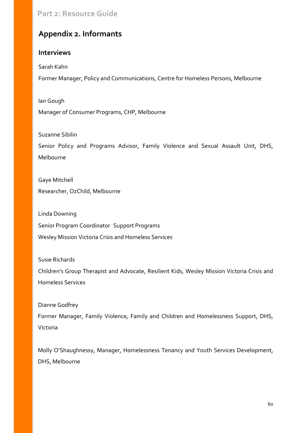# <span id="page-59-0"></span>**Appendix 2. Informants**

#### **Interviews**

Sarah Kahn

Former Manager, Policy and Communications, Centre for Homeless Persons, Melbourne

Ian Gough Manager of Consumer Programs, CHP, Melbourne

Suzanne Sibilin

Senior Policy and Programs Advisor, Family Violence and Sexual Assault Unit, DHS, Melbourne

Gaye Mitchell Researcher, OzChild, Melbourne

Linda Downing Senior Program Coordinator Support Programs Wesley Mission Victoria Crisis and Homeless Services

Susie Richards

Children's Group Therapist and Advocate, Resilient Kids, Wesley Mission Victoria Crisis and Homeless Services

Dianne Godfrey

Former Manager, Family Violence, Family and Children and Homelessness Support, DHS, Victoria

Molly O'Shaughnessy, Manager, Homelessness Tenancy and Youth Services Development, DHS, Melbourne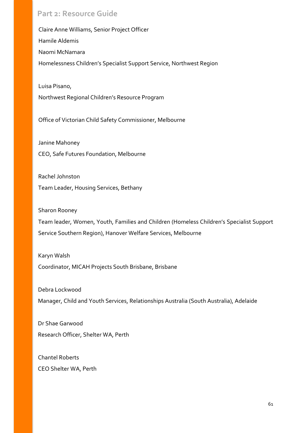Claire Anne Williams, Senior Project Officer Hamile Aldemis Naomi McNamara Homelessness Children's Specialist Support Service, Northwest Region

Luisa Pisano, Northwest Regional Children's Resource Program

Office of Victorian Child Safety Commissioner, Melbourne

Janine Mahoney CEO, Safe Futures Foundation, Melbourne

Rachel Johnston Team Leader, Housing Services, Bethany

Sharon Rooney Team leader, Women, Youth, Families and Children (Homeless Children's Specialist Support Service Southern Region), Hanover Welfare Services, Melbourne

Karyn Walsh Coordinator, MICAH Projects South Brisbane, Brisbane

Debra Lockwood Manager, Child and Youth Services, Relationships Australia (South Australia), Adelaide

Dr Shae Garwood Research Officer, Shelter WA, Perth

Chantel Roberts CEO Shelter WA, Perth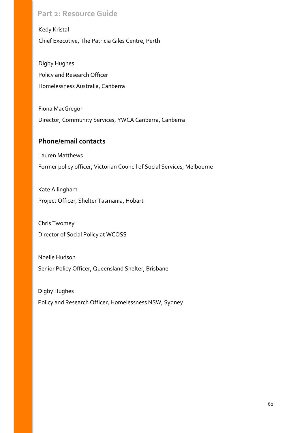Kedy Kristal Chief Executive, The Patricia Giles Centre, Perth

Digby Hughes Policy and Research Officer Homelessness Australia, Canberra

Fiona MacGregor Director, Community Services, YWCA Canberra, Canberra

### **Phone/email contacts**

Lauren Matthews Former policy officer, Victorian Council of Social Services, Melbourne

Kate Allingham Project Officer, Shelter Tasmania, Hobart

Chris Twomey Director of Social Policy at WCOSS

Noelle Hudson Senior Policy Officer, Queensland Shelter, Brisbane

Digby Hughes Policy and Research Officer, Homelessness NSW, Sydney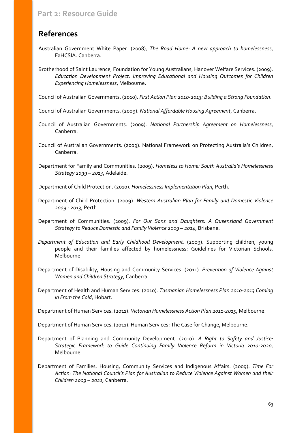# <span id="page-62-0"></span>**References**

- Australian Government White Paper. (2008), *The Road Home: A new approach to homelessness*, FaHCSIA. Canberra.
- Brotherhood of Saint Laurence, Foundation for Young Australians, Hanover Welfare Services. (2009). *Education Development Project: Improving Educational and Housing Outcomes for Children Experiencing Homelessness*, Melbourne.

Council of Australian Governments. (2010). *First Action Plan 2010-2013: Building a Strong Foundation*.

Council of Australian Governments. (2009). *National Affordable Housing Agreement*, Canberra.

- Council of Australian Governments. (2009). *National Partnership Agreement on Homelessness*, Canberra.
- Council of Australian Governments. (2009). National Framework on Protecting Australia's Children, Canberra.

Department for Family and Communities. (2009). *Homeless to Home: South Australia's Homelessness Strategy 2099 – 2013*, Adelaide.

Department of Child Protection. (2010). *Homelessness Implementation Plan,* Perth.

- Department of Child Protection. (2009). *Western Australian Plan for Family and Domestic Violence 2009 - 2013*, Perth.
- Department of Communities. (2009). *For Our Sons and Daughters: A Queensland Government Strategy to Reduce Domestic and Family Violence 2009 – 2014*, Brisbane.
- *Department of Education and Early Childhood Development.* (2009). Supporting children, young people and their families affected by homelessness: Guidelines for Victorian Schools, Melbourne.
- Department of Disability, Housing and Community Services. (2011). *Prevention of Violence Against Women and Children Strategy*, Canberra*.*
- Department of Health and Human Services. (2010). *Tasmanian Homelessness Plan 2010-2013 Coming in From the Cold*, Hobart.

Department of Human Services. (2011). *Victorian Homelessness Action Plan 2011-2015,* Melbourne.

Department of Human Services. (2011). Human Services: The Case for Change, Melbourne.

- Department of Planning and Community Development. (2010). *A Right to Safety and Justice: Strategic Framework to Guide Continuing Family Violence Reform in Victoria 2010-2020*, Melbourne
- Department of Families, Housing, Community Services and Indigenous Affairs. (2009). *Time For Action: The National Council's Plan for Australian to Reduce Violence Against Women and their Children 2009 – 2021,* Canberra.